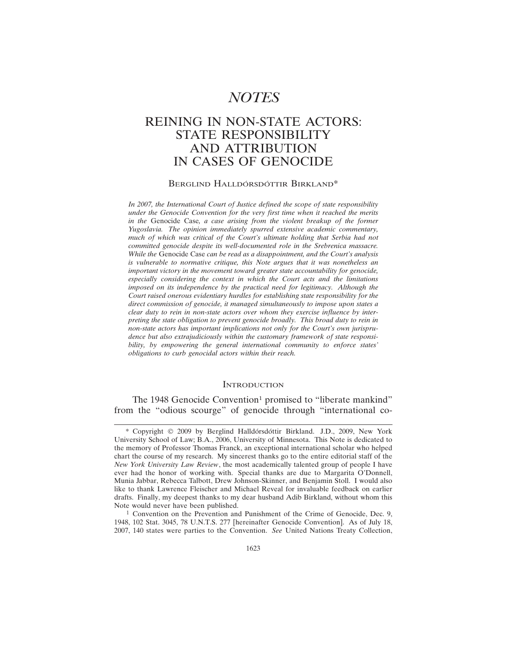# *NOTES*

## REINING IN NON-STATE ACTORS: STATE RESPONSIBILITY AND ATTRIBUTION IN CASES OF GENOCIDE

#### BERGLIND HALLDÓRSDÓTTIR BIRKLAND<sup>\*</sup>

*In 2007, the International Court of Justice defined the scope of state responsibility under the Genocide Convention for the very first time when it reached the merits in the* Genocide Case*, a case arising from the violent breakup of the former Yugoslavia. The opinion immediately spurred extensive academic commentary, much of which was critical of the Court's ultimate holding that Serbia had not committed genocide despite its well-documented role in the Srebrenica massacre. While the* Genocide Case *can be read as a disappointment, and the Court's analysis is vulnerable to normative critique, this Note argues that it was nonetheless an important victory in the movement toward greater state accountability for genocide, especially considering the context in which the Court acts and the limitations imposed on its independence by the practical need for legitimacy. Although the Court raised onerous evidentiary hurdles for establishing state responsibility for the direct commission of genocide, it managed simultaneously to impose upon states a clear duty to rein in non-state actors over whom they exercise influence by interpreting the state obligation to prevent genocide broadly. This broad duty to rein in non-state actors has important implications not only for the Court's own jurisprudence but also extrajudiciously within the customary framework of state responsibility, by empowering the general international community to enforce states' obligations to curb genocidal actors within their reach.*

#### **INTRODUCTION**

The 1948 Genocide Convention<sup>1</sup> promised to "liberate mankind" from the "odious scourge" of genocide through "international co-

<sup>\*</sup> Copyright © 2009 by Berglind Halldórsdóttir Birkland. J.D., 2009, New York University School of Law; B.A., 2006, University of Minnesota. This Note is dedicated to the memory of Professor Thomas Franck, an exceptional international scholar who helped chart the course of my research. My sincerest thanks go to the entire editorial staff of the *New York University Law Review*, the most academically talented group of people I have ever had the honor of working with. Special thanks are due to Margarita O'Donnell, Munia Jabbar, Rebecca Talbott, Drew Johnson-Skinner, and Benjamin Stoll. I would also like to thank Lawrence Fleischer and Michael Reveal for invaluable feedback on earlier drafts. Finally, my deepest thanks to my dear husband Adib Birkland, without whom this Note would never have been published.

<sup>&</sup>lt;sup>1</sup> Convention on the Prevention and Punishment of the Crime of Genocide, Dec. 9, 1948, 102 Stat. 3045, 78 U.N.T.S. 277 [hereinafter Genocide Convention]. As of July 18, 2007, 140 states were parties to the Convention. *See* United Nations Treaty Collection,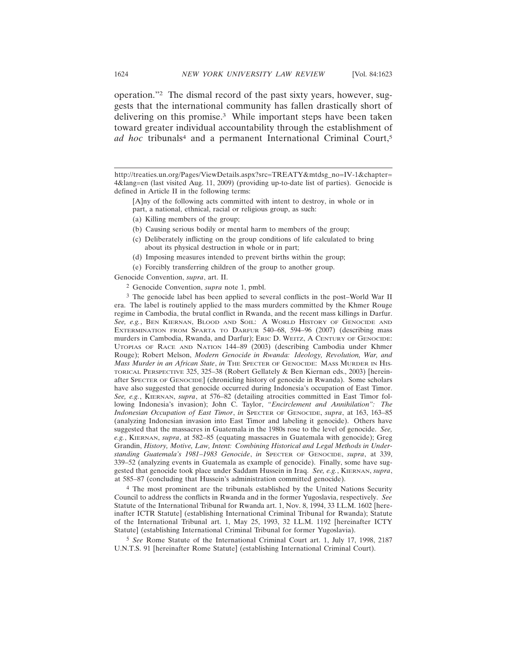operation."2 The dismal record of the past sixty years, however, suggests that the international community has fallen drastically short of delivering on this promise.3 While important steps have been taken toward greater individual accountability through the establishment of ad hoc tribunals<sup>4</sup> and a permanent International Criminal Court,<sup>5</sup>

[A]ny of the following acts committed with intent to destroy, in whole or in part, a national, ethnical, racial or religious group, as such:

- (a) Killing members of the group;
- (b) Causing serious bodily or mental harm to members of the group;
- (c) Deliberately inflicting on the group conditions of life calculated to bring about its physical destruction in whole or in part;
- (d) Imposing measures intended to prevent births within the group;
- (e) Forcibly transferring children of the group to another group.

Genocide Convention, *supra*, art. II.

2 Genocide Convention, *supra* note 1, pmbl.

3 The genocide label has been applied to several conflicts in the post–World War II era. The label is routinely applied to the mass murders committed by the Khmer Rouge regime in Cambodia, the brutal conflict in Rwanda, and the recent mass killings in Darfur. *See, e.g.*, BEN KIERNAN, BLOOD AND SOIL: A WORLD HISTORY OF GENOCIDE AND EXTERMINATION FROM SPARTA TO DARFUR 540–68, 594–96 (2007) (describing mass murders in Cambodia, Rwanda, and Darfur); ERIC D. WEITZ, A CENTURY OF GENOCIDE: UTOPIAS OF RACE AND NATION 144–89 (2003) (describing Cambodia under Khmer Rouge); Robert Melson, *Modern Genocide in Rwanda: Ideology, Revolution, War, and Mass Murder in an African State, in THE SPECTER OF GENOCIDE: MASS MURDER IN HIS-*TORICAL PERSPECTIVE 325, 325–38 (Robert Gellately & Ben Kiernan eds., 2003) [hereinafter SPECTER OF GENOCIDE] (chronicling history of genocide in Rwanda). Some scholars have also suggested that genocide occurred during Indonesia's occupation of East Timor. *See, e.g.*, KIERNAN, *supra*, at 576–82 (detailing atrocities committed in East Timor following Indonesia's invasion); John C. Taylor, *"Encirclement and Annihilation": The Indonesian Occupation of East Timor*, *in* SPECTER OF GENOCIDE, *supra*, at 163, 163–85 (analyzing Indonesian invasion into East Timor and labeling it genocide). Others have suggested that the massacres in Guatemala in the 1980s rose to the level of genocide. *See, e.g.*, KIERNAN, *supra*, at 582–85 (equating massacres in Guatemala with genocide); Greg Grandin, *History, Motive, Law, Intent: Combining Historical and Legal Methods in Understanding Guatemala's 1981–1983 Genocide*, *in* SPECTER OF GENOCIDE, *supra*, at 339, 339–52 (analyzing events in Guatemala as example of genocide). Finally, some have suggested that genocide took place under Saddam Hussein in Iraq. *See, e.g.*, KIERNAN, *supra*, at 585–87 (concluding that Hussein's administration committed genocide).

4 The most prominent are the tribunals established by the United Nations Security Council to address the conflicts in Rwanda and in the former Yugoslavia, respectively. *See* Statute of the International Tribunal for Rwanda art. 1, Nov. 8, 1994, 33 I.L.M. 1602 [hereinafter ICTR Statute] (establishing International Criminal Tribunal for Rwanda); Statute of the International Tribunal art. 1, May 25, 1993, 32 I.L.M. 1192 [hereinafter ICTY Statute] (establishing International Criminal Tribunal for former Yugoslavia).

5 *See* Rome Statute of the International Criminal Court art. 1, July 17, 1998, 2187 U.N.T.S. 91 [hereinafter Rome Statute] (establishing International Criminal Court).

http://treaties.un.org/Pages/ViewDetails.aspx?src=TREATY&mtdsg\_no=IV-1&chapter= 4&lang=en (last visited Aug. 11, 2009) (providing up-to-date list of parties). Genocide is defined in Article II in the following terms: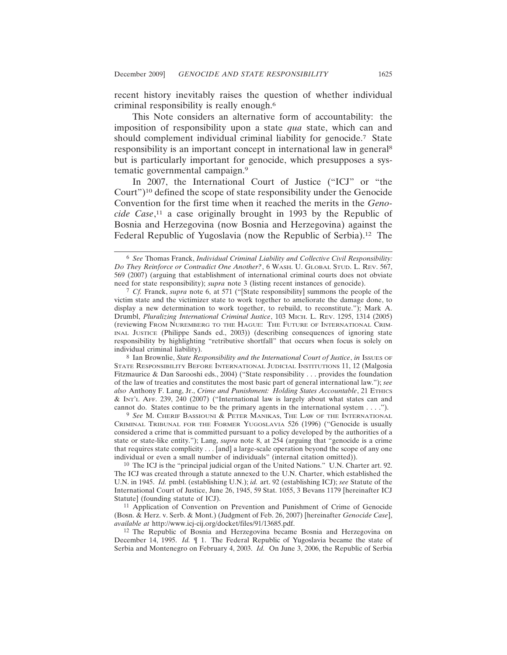recent history inevitably raises the question of whether individual criminal responsibility is really enough.6

This Note considers an alternative form of accountability: the imposition of responsibility upon a state *qua* state, which can and should complement individual criminal liability for genocide.7 State responsibility is an important concept in international law in general8 but is particularly important for genocide, which presupposes a systematic governmental campaign.9

In 2007, the International Court of Justice ("ICJ" or "the Court")10 defined the scope of state responsibility under the Genocide Convention for the first time when it reached the merits in the *Genocide Case*, 11 a case originally brought in 1993 by the Republic of Bosnia and Herzegovina (now Bosnia and Herzegovina) against the Federal Republic of Yugoslavia (now the Republic of Serbia).12 The

8 Ian Brownlie, *State Responsibility and the International Court of Justice*, *in* ISSUES OF STATE RESPONSIBILITY BEFORE INTERNATIONAL JUDICIAL INSTITUTIONS 11, 12 (Malgosia Fitzmaurice & Dan Sarooshi eds., 2004) ("State responsibility . . . provides the foundation of the law of treaties and constitutes the most basic part of general international law."); *see also* Anthony F. Lang, Jr., *Crime and Punishment: Holding States Accountable*, 21 ETHICS & INT'L AFF. 239, 240 (2007) ("International law is largely about what states can and cannot do. States continue to be the primary agents in the international system . . . .").

9 *See* M. CHERIF BASSIOUNI & PETER MANIKAS, THE LAW OF THE INTERNATIONAL CRIMINAL TRIBUNAL FOR THE FORMER YUGOSLAVIA 526 (1996) ("Genocide is usually considered a crime that is committed pursuant to a policy developed by the authorities of a state or state-like entity."); Lang, *supra* note 8, at 254 (arguing that "genocide is a crime that requires state complicity . . . [and] a large-scale operation beyond the scope of any one individual or even a small number of individuals" (internal citation omitted)).

10 The ICJ is the "principal judicial organ of the United Nations." U.N. Charter art. 92. The ICJ was created through a statute annexed to the U.N. Charter, which established the U.N. in 1945. *Id.* pmbl. (establishing U.N.); *id.* art. 92 (establishing ICJ); *see* Statute of the International Court of Justice, June 26, 1945, 59 Stat. 1055, 3 Bevans 1179 [hereinafter ICJ Statute] (founding statute of ICJ).

11 Application of Convention on Prevention and Punishment of Crime of Genocide (Bosn. & Herz. v. Serb. & Mont.) (Judgment of Feb. 26, 2007) [hereinafter *Genocide Case*], *available at* http://www.icj-cij.org/docket/files/91/13685.pdf.

12 The Republic of Bosnia and Herzegovina became Bosnia and Herzegovina on December 14, 1995. *Id.* ¶ 1. The Federal Republic of Yugoslavia became the state of Serbia and Montenegro on February 4, 2003. *Id.* On June 3, 2006, the Republic of Serbia

<sup>6</sup> *See* Thomas Franck, *Individual Criminal Liability and Collective Civil Responsibility: Do They Reinforce or Contradict One Another?*, 6 WASH. U. GLOBAL STUD. L. REV. 567, 569 (2007) (arguing that establishment of international criminal courts does not obviate need for state responsibility); *supra* note 3 (listing recent instances of genocide).

<sup>7</sup> *Cf.* Franck, *supra* note 6, at 571 ("[State responsibility] summons the people of the victim state and the victimizer state to work together to ameliorate the damage done, to display a new determination to work together, to rebuild, to reconstitute."); Mark A. Drumbl, *Pluralizing International Criminal Justice*, 103 MICH. L. REV. 1295, 1314 (2005) (reviewing FROM NUREMBERG TO THE HAGUE: THE FUTURE OF INTERNATIONAL CRIM-INAL JUSTICE (Philippe Sands ed., 2003)) (describing consequences of ignoring state responsibility by highlighting "retributive shortfall" that occurs when focus is solely on individual criminal liability).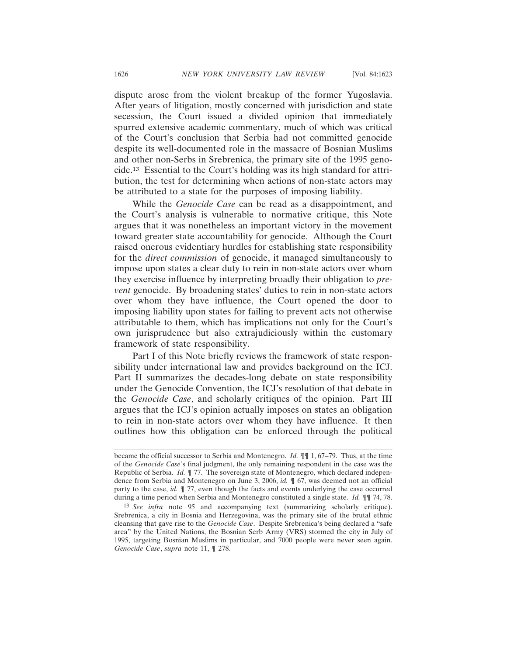dispute arose from the violent breakup of the former Yugoslavia. After years of litigation, mostly concerned with jurisdiction and state secession, the Court issued a divided opinion that immediately spurred extensive academic commentary, much of which was critical of the Court's conclusion that Serbia had not committed genocide despite its well-documented role in the massacre of Bosnian Muslims and other non-Serbs in Srebrenica, the primary site of the 1995 genocide.13 Essential to the Court's holding was its high standard for attribution, the test for determining when actions of non-state actors may be attributed to a state for the purposes of imposing liability.

While the *Genocide Case* can be read as a disappointment, and the Court's analysis is vulnerable to normative critique, this Note argues that it was nonetheless an important victory in the movement toward greater state accountability for genocide. Although the Court raised onerous evidentiary hurdles for establishing state responsibility for the *direct commission* of genocide, it managed simultaneously to impose upon states a clear duty to rein in non-state actors over whom they exercise influence by interpreting broadly their obligation to *prevent* genocide. By broadening states' duties to rein in non-state actors over whom they have influence, the Court opened the door to imposing liability upon states for failing to prevent acts not otherwise attributable to them, which has implications not only for the Court's own jurisprudence but also extrajudiciously within the customary framework of state responsibility.

Part I of this Note briefly reviews the framework of state responsibility under international law and provides background on the ICJ. Part II summarizes the decades-long debate on state responsibility under the Genocide Convention, the ICJ's resolution of that debate in the *Genocide Case*, and scholarly critiques of the opinion. Part III argues that the ICJ's opinion actually imposes on states an obligation to rein in non-state actors over whom they have influence. It then outlines how this obligation can be enforced through the political

became the official successor to Serbia and Montenegro. *Id.* ¶¶ 1, 67–79. Thus, at the time of the *Genocide Case*'s final judgment, the only remaining respondent in the case was the Republic of Serbia. *Id.* ¶ 77. The sovereign state of Montenegro, which declared independence from Serbia and Montenegro on June 3, 2006, *id.* ¶ 67, was deemed not an official party to the case, *id.* ¶ 77, even though the facts and events underlying the case occurred during a time period when Serbia and Montenegro constituted a single state. *Id.* ¶¶ 74, 78.

<sup>13</sup> *See infra* note 95 and accompanying text (summarizing scholarly critique). Srebrenica, a city in Bosnia and Herzegovina, was the primary site of the brutal ethnic cleansing that gave rise to the *Genocide Case*. Despite Srebrenica's being declared a "safe area" by the United Nations, the Bosnian Serb Army (VRS) stormed the city in July of 1995, targeting Bosnian Muslims in particular, and 7000 people were never seen again. *Genocide Case*, *supra* note 11, ¶ 278.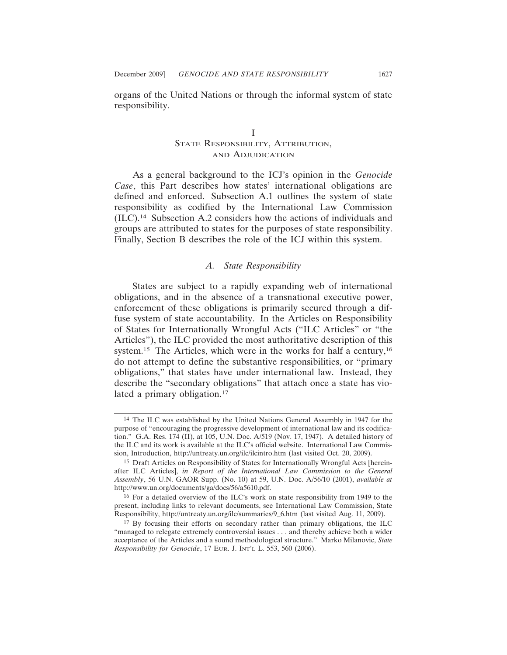organs of the United Nations or through the informal system of state responsibility.

## I STATE RESPONSIBILITY, ATTRIBUTION, AND ADJUDICATION

As a general background to the ICJ's opinion in the *Genocide Case*, this Part describes how states' international obligations are defined and enforced. Subsection A.1 outlines the system of state responsibility as codified by the International Law Commission (ILC).14 Subsection A.2 considers how the actions of individuals and groups are attributed to states for the purposes of state responsibility. Finally, Section B describes the role of the ICJ within this system.

### *A. State Responsibility*

States are subject to a rapidly expanding web of international obligations, and in the absence of a transnational executive power, enforcement of these obligations is primarily secured through a diffuse system of state accountability. In the Articles on Responsibility of States for Internationally Wrongful Acts ("ILC Articles" or "the Articles"), the ILC provided the most authoritative description of this system.<sup>15</sup> The Articles, which were in the works for half a century,<sup>16</sup> do not attempt to define the substantive responsibilities, or "primary obligations," that states have under international law. Instead, they describe the "secondary obligations" that attach once a state has violated a primary obligation.<sup>17</sup>

<sup>14</sup> The ILC was established by the United Nations General Assembly in 1947 for the purpose of "encouraging the progressive development of international law and its codification." G.A. Res. 174 (II), at 105, U.N. Doc. A/519 (Nov. 17, 1947). A detailed history of the ILC and its work is available at the ILC's official website. International Law Commission, Introduction, http://untreaty.un.org/ilc/ilcintro.htm (last visited Oct. 20, 2009).

<sup>15</sup> Draft Articles on Responsibility of States for Internationally Wrongful Acts [hereinafter ILC Articles], *in Report of the International Law Commission to the General Assembly*, 56 U.N. GAOR Supp. (No. 10) at 59, U.N. Doc. A/56/10 (2001), *available at* http://www.un.org/documents/ga/docs/56/a5610.pdf.

<sup>16</sup> For a detailed overview of the ILC's work on state responsibility from 1949 to the present, including links to relevant documents, see International Law Commission, State Responsibility, http://untreaty.un.org/ilc/summaries/9\_6.htm (last visited Aug. 11, 2009).

<sup>17</sup> By focusing their efforts on secondary rather than primary obligations, the ILC "managed to relegate extremely controversial issues . . . and thereby achieve both a wider acceptance of the Articles and a sound methodological structure." Marko Milanovic, *State Responsibility for Genocide*, 17 EUR. J. INT'L L. 553, 560 (2006).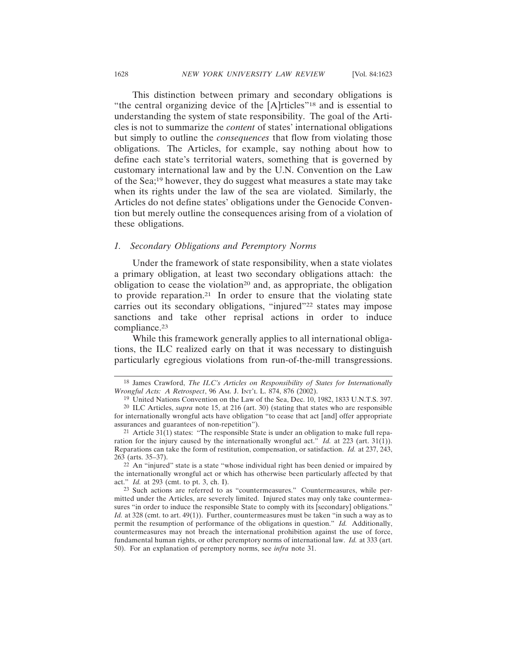This distinction between primary and secondary obligations is "the central organizing device of the [A]rticles"18 and is essential to understanding the system of state responsibility. The goal of the Articles is not to summarize the *content* of states' international obligations but simply to outline the *consequences* that flow from violating those obligations. The Articles, for example, say nothing about how to define each state's territorial waters, something that is governed by customary international law and by the U.N. Convention on the Law of the Sea;19 however, they do suggest what measures a state may take when its rights under the law of the sea are violated. Similarly, the Articles do not define states' obligations under the Genocide Convention but merely outline the consequences arising from of a violation of these obligations.

#### *1. Secondary Obligations and Peremptory Norms*

Under the framework of state responsibility, when a state violates a primary obligation, at least two secondary obligations attach: the obligation to cease the violation<sup>20</sup> and, as appropriate, the obligation to provide reparation.21 In order to ensure that the violating state carries out its secondary obligations, "injured"22 states may impose sanctions and take other reprisal actions in order to induce compliance.<sup>23</sup>

While this framework generally applies to all international obligations, the ILC realized early on that it was necessary to distinguish particularly egregious violations from run-of-the-mill transgressions.

<sup>18</sup> James Crawford, *The ILC's Articles on Responsibility of States for Internationally Wrongful Acts: A Retrospect*, 96 AM. J. INT'L L. 874, 876 (2002).

<sup>19</sup> United Nations Convention on the Law of the Sea, Dec. 10, 1982, 1833 U.N.T.S. 397.

<sup>20</sup> ILC Articles, *supra* note 15, at 216 (art. 30) (stating that states who are responsible for internationally wrongful acts have obligation "to cease that act [and] offer appropriate assurances and guarantees of non-repetition").

<sup>&</sup>lt;sup>21</sup> Article 31(1) states: "The responsible State is under an obligation to make full reparation for the injury caused by the internationally wrongful act." *Id.* at 223 (art. 31(1)). Reparations can take the form of restitution, compensation, or satisfaction. *Id.* at 237, 243, 263 (arts. 35–37).

<sup>22</sup> An "injured" state is a state "whose individual right has been denied or impaired by the internationally wrongful act or which has otherwise been particularly affected by that act." *Id.* at 293 (cmt. to pt. 3, ch. I).

<sup>23</sup> Such actions are referred to as "countermeasures." Countermeasures, while permitted under the Articles, are severely limited. Injured states may only take countermeasures "in order to induce the responsible State to comply with its [secondary] obligations." *Id.* at 328 (cmt. to art. 49(1)). Further, countermeasures must be taken "in such a way as to permit the resumption of performance of the obligations in question." *Id.* Additionally, countermeasures may not breach the international prohibition against the use of force, fundamental human rights, or other peremptory norms of international law. *Id.* at 333 (art. 50). For an explanation of peremptory norms, see *infra* note 31.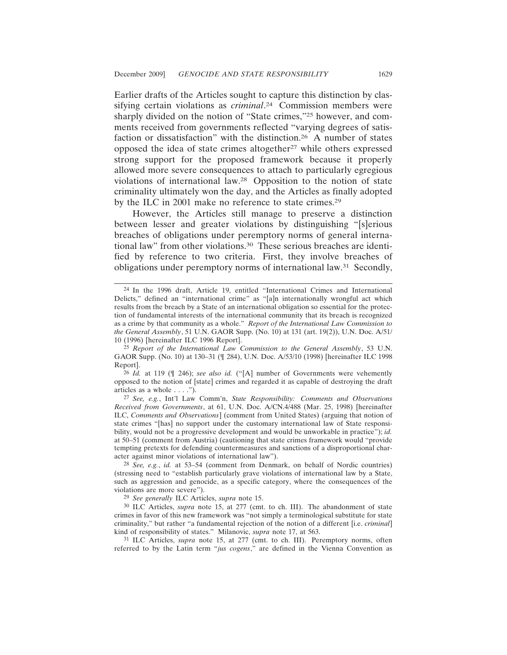Earlier drafts of the Articles sought to capture this distinction by classifying certain violations as *criminal*. 24 Commission members were sharply divided on the notion of "State crimes,"25 however, and comments received from governments reflected "varying degrees of satisfaction or dissatisfaction" with the distinction.26 A number of states opposed the idea of state crimes altogether27 while others expressed strong support for the proposed framework because it properly allowed more severe consequences to attach to particularly egregious violations of international law.28 Opposition to the notion of state criminality ultimately won the day, and the Articles as finally adopted by the ILC in 2001 make no reference to state crimes.29

However, the Articles still manage to preserve a distinction between lesser and greater violations by distinguishing "[s]erious breaches of obligations under peremptory norms of general international law" from other violations.30 These serious breaches are identified by reference to two criteria. First, they involve breaches of obligations under peremptory norms of international law.31 Secondly,

26 *Id.* at 119 (¶ 246); *see also id.* ("[A] number of Governments were vehemently opposed to the notion of [state] crimes and regarded it as capable of destroying the draft articles as a whole . . . .").

27 *See, e.g.*, Int'l Law Comm'n, *State Responsibility: Comments and Observations Received from Governments*, at 61, U.N. Doc. A/CN.4/488 (Mar. 25, 1998) [hereinafter ILC, *Comments and Observations*] (comment from United States) (arguing that notion of state crimes "[has] no support under the customary international law of State responsibility, would not be a progressive development and would be unworkable in practice"); *id.* at 50–51 (comment from Austria) (cautioning that state crimes framework would "provide tempting pretexts for defending countermeasures and sanctions of a disproportional character against minor violations of international law").

28 *See, e.g.*, *id.* at 53–54 (comment from Denmark, on behalf of Nordic countries) (stressing need to "establish particularly grave violations of international law by a State, such as aggression and genocide, as a specific category, where the consequences of the violations are more severe").

29 *See generally* ILC Articles, *supra* note 15.

30 ILC Articles, *supra* note 15, at 277 (cmt. to ch. III). The abandonment of state crimes in favor of this new framework was "not simply a terminological substitute for state criminality," but rather "a fundamental rejection of the notion of a different [i.e. *criminal*] kind of responsibility of states." Milanovic, *supra* note 17, at 563.

31 ILC Articles, *supra* note 15, at 277 (cmt. to ch. III). Peremptory norms, often referred to by the Latin term "*jus cogens*," are defined in the Vienna Convention as

<sup>24</sup> In the 1996 draft, Article 19, entitled "International Crimes and International Delicts," defined an "international crime" as "[a]n internationally wrongful act which results from the breach by a State of an international obligation so essential for the protection of fundamental interests of the international community that its breach is recognized as a crime by that community as a whole." *Report of the International Law Commission to the General Assembly*, 51 U.N. GAOR Supp. (No. 10) at 131 (art. 19(2)), U.N. Doc. A/51/ 10 (1996) [hereinafter ILC 1996 Report].

<sup>25</sup> *Report of the International Law Commission to the General Assembly*, 53 U.N. GAOR Supp. (No. 10) at 130–31 (¶ 284), U.N. Doc. A/53/10 (1998) [hereinafter ILC 1998 Report].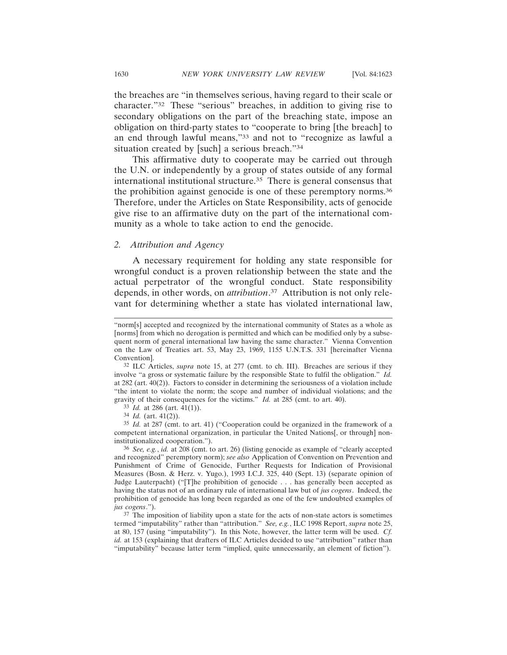the breaches are "in themselves serious, having regard to their scale or character."32 These "serious" breaches, in addition to giving rise to secondary obligations on the part of the breaching state, impose an obligation on third-party states to "cooperate to bring [the breach] to an end through lawful means,"33 and not to "recognize as lawful a situation created by [such] a serious breach."34

This affirmative duty to cooperate may be carried out through the U.N. or independently by a group of states outside of any formal international institutional structure.35 There is general consensus that the prohibition against genocide is one of these peremptory norms.36 Therefore, under the Articles on State Responsibility, acts of genocide give rise to an affirmative duty on the part of the international community as a whole to take action to end the genocide.

#### *2. Attribution and Agency*

A necessary requirement for holding any state responsible for wrongful conduct is a proven relationship between the state and the actual perpetrator of the wrongful conduct. State responsibility depends, in other words, on *attribution*. 37 Attribution is not only relevant for determining whether a state has violated international law,

<sup>&</sup>quot;norm[s] accepted and recognized by the international community of States as a whole as [norms] from which no derogation is permitted and which can be modified only by a subsequent norm of general international law having the same character." Vienna Convention on the Law of Treaties art. 53, May 23, 1969, 1155 U.N.T.S. 331 [hereinafter Vienna Convention].

<sup>32</sup> ILC Articles, *supra* note 15, at 277 (cmt. to ch. III). Breaches are serious if they involve "a gross or systematic failure by the responsible State to fulfil the obligation." *Id.* at 282 (art. 40(2)). Factors to consider in determining the seriousness of a violation include "the intent to violate the norm; the scope and number of individual violations; and the gravity of their consequences for the victims." *Id.* at 285 (cmt. to art. 40).

<sup>33</sup> *Id.* at 286 (art. 41(1)).

<sup>34</sup> *Id.* (art. 41(2)).

<sup>35</sup> *Id.* at 287 (cmt. to art. 41) ("Cooperation could be organized in the framework of a competent international organization, in particular the United Nations[, or through] noninstitutionalized cooperation.").

<sup>36</sup> *See, e.g.*, *id.* at 208 (cmt. to art. 26) (listing genocide as example of "clearly accepted and recognized" peremptory norm); *see also* Application of Convention on Prevention and Punishment of Crime of Genocide, Further Requests for Indication of Provisional Measures (Bosn. & Herz. v. Yugo.), 1993 I.C.J. 325, 440 (Sept. 13) (separate opinion of Judge Lauterpacht) ("[T]he prohibition of genocide . . . has generally been accepted as having the status not of an ordinary rule of international law but of *jus cogens*. Indeed, the prohibition of genocide has long been regarded as one of the few undoubted examples of *jus cogens*.").

<sup>37</sup> The imposition of liability upon a state for the acts of non-state actors is sometimes termed "imputability" rather than "attribution." *See, e.g.*, ILC 1998 Report, *supra* note 25, at 80, 157 (using "imputability"). In this Note, however, the latter term will be used. *Cf. id.* at 153 (explaining that drafters of ILC Articles decided to use "attribution" rather than "imputability" because latter term "implied, quite unnecessarily, an element of fiction").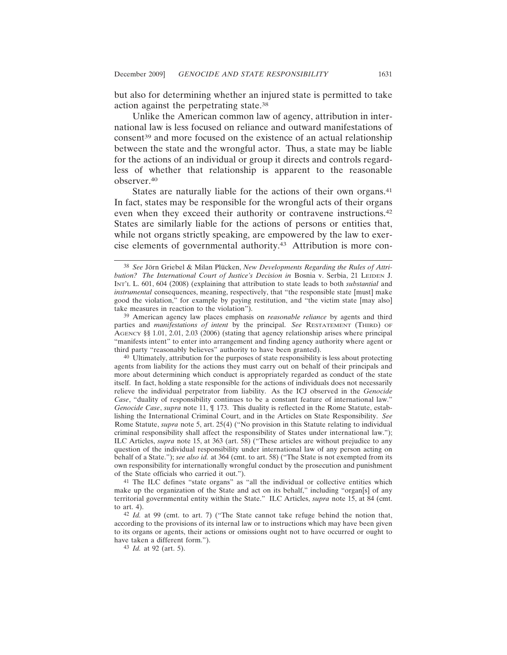but also for determining whether an injured state is permitted to take action against the perpetrating state.38

Unlike the American common law of agency, attribution in international law is less focused on reliance and outward manifestations of consent<sup>39</sup> and more focused on the existence of an actual relationship between the state and the wrongful actor. Thus, a state may be liable for the actions of an individual or group it directs and controls regardless of whether that relationship is apparent to the reasonable observer.40

States are naturally liable for the actions of their own organs.<sup>41</sup> In fact, states may be responsible for the wrongful acts of their organs even when they exceed their authority or contravene instructions.42 States are similarly liable for the actions of persons or entities that, while not organs strictly speaking, are empowered by the law to exercise elements of governmental authority.43 Attribution is more con-

40 Ultimately, attribution for the purposes of state responsibility is less about protecting agents from liability for the actions they must carry out on behalf of their principals and more about determining which conduct is appropriately regarded as conduct of the state itself. In fact, holding a state responsible for the actions of individuals does not necessarily relieve the individual perpetrator from liability. As the ICJ observed in the *Genocide Case*, "duality of responsibility continues to be a constant feature of international law." *Genocide Case*, *supra* note 11, ¶ 173. This duality is reflected in the Rome Statute, establishing the International Criminal Court, and in the Articles on State Responsibility. *See* Rome Statute, *supra* note 5, art. 25(4) ("No provision in this Statute relating to individual criminal responsibility shall affect the responsibility of States under international law."); ILC Articles, *supra* note 15, at 363 (art. 58) ("These articles are without prejudice to any question of the individual responsibility under international law of any person acting on behalf of a State."); *see also id.* at 364 (cmt. to art. 58) ("The State is not exempted from its own responsibility for internationally wrongful conduct by the prosecution and punishment of the State officials who carried it out.").

41 The ILC defines "state organs" as "all the individual or collective entities which make up the organization of the State and act on its behalf," including "organ[s] of any territorial governmental entity within the State." ILC Articles, *supra* note 15, at 84 (cmt. to art. 4).

42 *Id.* at 99 (cmt. to art. 7) ("The State cannot take refuge behind the notion that, according to the provisions of its internal law or to instructions which may have been given to its organs or agents, their actions or omissions ought not to have occurred or ought to have taken a different form.").

<sup>&</sup>lt;sup>38</sup> See Jörn Griebel & Milan Plücken, New Developments Regarding the Rules of Attri*bution? The International Court of Justice's Decision in Bosnia v. Serbia, 21 LEIDEN J.* INT'L L. 601, 604 (2008) (explaining that attribution to state leads to both *substantial* and *instrumental* consequences, meaning, respectively, that "the responsible state [must] make good the violation," for example by paying restitution, and "the victim state [may also] take measures in reaction to the violation").

<sup>39</sup> American agency law places emphasis on *reasonable reliance* by agents and third parties and *manifestations of intent* by the principal. *See* RESTATEMENT (THIRD) OF AGENCY §§ 1.01, 2.01, 2.03 (2006) (stating that agency relationship arises where principal "manifests intent" to enter into arrangement and finding agency authority where agent or third party "reasonably believes" authority to have been granted).

<sup>43</sup> *Id.* at 92 (art. 5).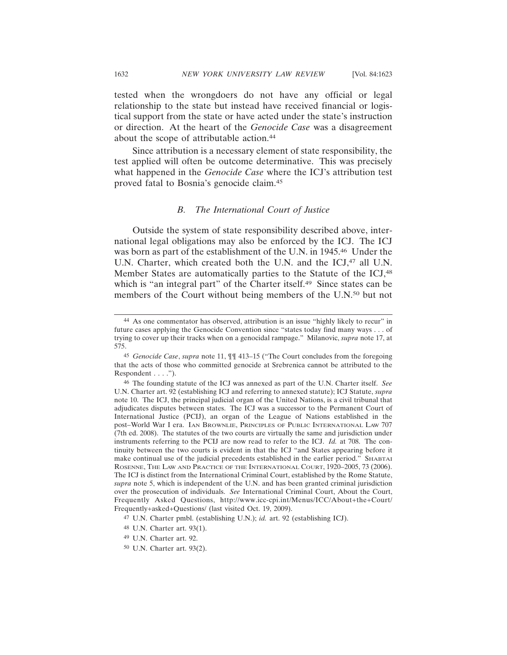tested when the wrongdoers do not have any official or legal relationship to the state but instead have received financial or logistical support from the state or have acted under the state's instruction or direction. At the heart of the *Genocide Case* was a disagreement about the scope of attributable action.<sup>44</sup>

Since attribution is a necessary element of state responsibility, the test applied will often be outcome determinative. This was precisely what happened in the *Genocide Case* where the ICJ's attribution test proved fatal to Bosnia's genocide claim.45

#### *B. The International Court of Justice*

Outside the system of state responsibility described above, international legal obligations may also be enforced by the ICJ. The ICJ was born as part of the establishment of the U.N. in 1945.46 Under the U.N. Charter, which created both the U.N. and the ICJ,<sup>47</sup> all U.N. Member States are automatically parties to the Statute of the ICJ,<sup>48</sup> which is "an integral part" of the Charter itself.<sup>49</sup> Since states can be members of the Court without being members of the U.N.50 but not

<sup>44</sup> As one commentator has observed, attribution is an issue "highly likely to recur" in future cases applying the Genocide Convention since "states today find many ways . . . of trying to cover up their tracks when on a genocidal rampage." Milanovic, *supra* note 17, at 575.

<sup>45</sup> *Genocide Case*, *supra* note 11, ¶¶ 413–15 ("The Court concludes from the foregoing that the acts of those who committed genocide at Srebrenica cannot be attributed to the Respondent . . . .").

<sup>46</sup> The founding statute of the ICJ was annexed as part of the U.N. Charter itself. *See* U.N. Charter art. 92 (establishing ICJ and referring to annexed statute); ICJ Statute, *supra* note 10. The ICJ, the principal judicial organ of the United Nations, is a civil tribunal that adjudicates disputes between states. The ICJ was a successor to the Permanent Court of International Justice (PCIJ), an organ of the League of Nations established in the post–World War I era. IAN BROWNLIE, PRINCIPLES OF PUBLIC INTERNATIONAL LAW 707 (7th ed. 2008). The statutes of the two courts are virtually the same and jurisdiction under instruments referring to the PCIJ are now read to refer to the ICJ. *Id.* at 708. The continuity between the two courts is evident in that the ICJ "and States appearing before it make continual use of the judicial precedents established in the earlier period." SHABTAI ROSENNE, THE LAW AND PRACTICE OF THE INTERNATIONAL COURT, 1920–2005, 73 (2006). The ICJ is distinct from the International Criminal Court, established by the Rome Statute, *supra* note 5, which is independent of the U.N. and has been granted criminal jurisdiction over the prosecution of individuals. *See* International Criminal Court, About the Court, Frequently Asked Questions, http://www.icc-cpi.int/Menus/ICC/About+the+Court/ Frequently+asked+Questions/ (last visited Oct. 19, 2009).

<sup>47</sup> U.N. Charter pmbl. (establishing U.N.); *id.* art. 92 (establishing ICJ).

<sup>48</sup> U.N. Charter art. 93(1).

<sup>49</sup> U.N. Charter art. 92.

<sup>50</sup> U.N. Charter art. 93(2).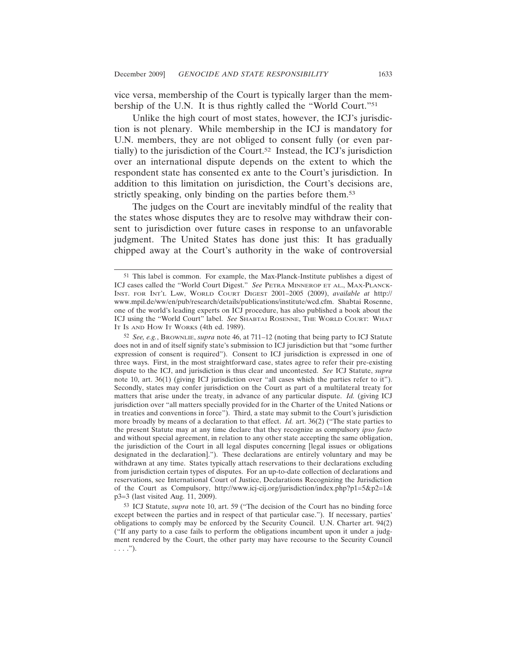vice versa, membership of the Court is typically larger than the membership of the U.N. It is thus rightly called the "World Court."51

Unlike the high court of most states, however, the ICJ's jurisdiction is not plenary. While membership in the ICJ is mandatory for U.N. members, they are not obliged to consent fully (or even partially) to the jurisdiction of the Court.52 Instead, the ICJ's jurisdiction over an international dispute depends on the extent to which the respondent state has consented ex ante to the Court's jurisdiction. In addition to this limitation on jurisdiction, the Court's decisions are, strictly speaking, only binding on the parties before them.<sup>53</sup>

The judges on the Court are inevitably mindful of the reality that the states whose disputes they are to resolve may withdraw their consent to jurisdiction over future cases in response to an unfavorable judgment. The United States has done just this: It has gradually chipped away at the Court's authority in the wake of controversial

<sup>51</sup> This label is common. For example, the Max-Planck-Institute publishes a digest of ICJ cases called the "World Court Digest." *See* PETRA MINNEROP ET AL., MAX-PLANCK-INST. FOR INT'L LAW, WORLD COURT DIGEST 2001–2005 (2009), *available at* http:// www.mpil.de/ww/en/pub/research/details/publications/institute/wcd.cfm. Shabtai Rosenne, one of the world's leading experts on ICJ procedure, has also published a book about the ICJ using the "World Court" label. See SHABTAI ROSENNE, THE WORLD COURT: WHAT IT IS AND HOW IT WORKS (4th ed. 1989).

<sup>52</sup> *See, e.g.*, BROWNLIE, *supra* note 46, at 711–12 (noting that being party to ICJ Statute does not in and of itself signify state's submission to ICJ jurisdiction but that "some further expression of consent is required"). Consent to ICJ jurisdiction is expressed in one of three ways. First, in the most straightforward case, states agree to refer their pre-existing dispute to the ICJ, and jurisdiction is thus clear and uncontested. *See* ICJ Statute, *supra* note 10, art. 36(1) (giving ICJ jurisdiction over "all cases which the parties refer to it"). Secondly, states may confer jurisdiction on the Court as part of a multilateral treaty for matters that arise under the treaty, in advance of any particular dispute. *Id.* (giving ICJ jurisdiction over "all matters specially provided for in the Charter of the United Nations or in treaties and conventions in force"). Third, a state may submit to the Court's jurisdiction more broadly by means of a declaration to that effect. *Id.* art. 36(2) ("The state parties to the present Statute may at any time declare that they recognize as compulsory *ipso facto* and without special agreement, in relation to any other state accepting the same obligation, the jurisdiction of the Court in all legal disputes concerning [legal issues or obligations designated in the declaration]."). These declarations are entirely voluntary and may be withdrawn at any time. States typically attach reservations to their declarations excluding from jurisdiction certain types of disputes. For an up-to-date collection of declarations and reservations, see International Court of Justice, Declarations Recognizing the Jurisdiction of the Court as Compulsory, http://www.icj-cij.org/jurisdiction/index.php?p1=5&p2=1& p3=3 (last visited Aug. 11, 2009).

<sup>53</sup> ICJ Statute, *supra* note 10, art. 59 ("The decision of the Court has no binding force except between the parties and in respect of that particular case."). If necessary, parties' obligations to comply may be enforced by the Security Council. U.N. Charter art. 94(2) ("If any party to a case fails to perform the obligations incumbent upon it under a judgment rendered by the Court, the other party may have recourse to the Security Council  $\ldots$ .").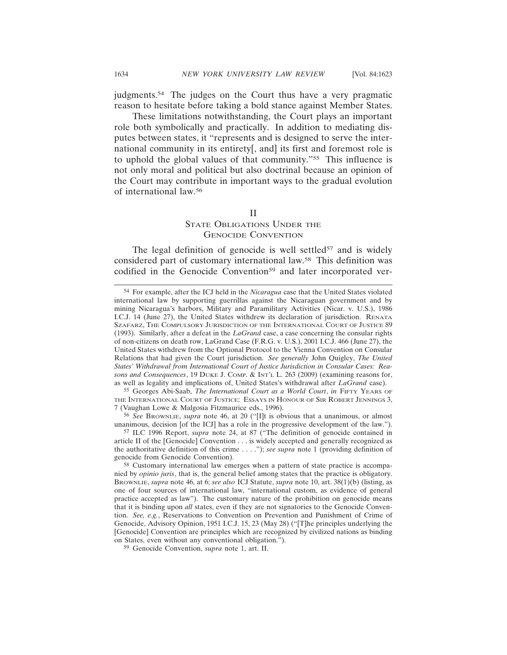judgments.54 The judges on the Court thus have a very pragmatic reason to hesitate before taking a bold stance against Member States.

These limitations notwithstanding, the Court plays an important role both symbolically and practically. In addition to mediating disputes between states, it "represents and is designed to serve the international community in its entirety[, and] its first and foremost role is to uphold the global values of that community."55 This influence is not only moral and political but also doctrinal because an opinion of the Court may contribute in important ways to the gradual evolution of international law.56

#### II

## STATE OBLIGATIONS UNDER THE GENOCIDE CONVENTION

The legal definition of genocide is well settled $57$  and is widely considered part of customary international law.58 This definition was codified in the Genocide Convention<sup>59</sup> and later incorporated ver-

55 Georges Abi-Saab, *The International Court as a World Court*, *in* FIFTY YEARS OF THE INTERNATIONAL COURT OF JUSTICE: ESSAYS IN HONOUR OF SIR ROBERT JENNINGS 3, 7 (Vaughan Lowe & Malgosia Fitzmaurice eds., 1996).

56 *See* BROWNLIE, *supra* note 46, at 20 ("[I]t is obvious that a unanimous, or almost unanimous, decision [of the ICJ] has a role in the progressive development of the law.").

59 Genocide Convention, *supra* note 1, art. II.

<sup>54</sup> For example, after the ICJ held in the *Nicaragua* case that the United States violated international law by supporting guerrillas against the Nicaraguan government and by mining Nicaragua's harbors, Military and Paramilitary Activities (Nicar. v. U.S.), 1986 I.C.J. 14 (June 27), the United States withdrew its declaration of jurisdiction. RENATA SZAFARZ, THE COMPULSORY JURISDICTION OF THE INTERNATIONAL COURT OF JUSTICE 89 (1993). Similarly, after a defeat in the *LaGrand* case, a case concerning the consular rights of non-citizens on death row, LaGrand Case (F.R.G. v. U.S.), 2001 I.C.J. 466 (June 27), the United States withdrew from the Optional Protocol to the Vienna Convention on Consular Relations that had given the Court jurisdiction. *See generally* John Quigley, *The United States' Withdrawal from International Court of Justice Jurisdiction in Consular Cases: Reasons and Consequences*, 19 DUKE J. COMP. & INT'L L. 263 (2009) (examining reasons for, as well as legality and implications of, United States's withdrawal after *LaGrand* case).

<sup>57</sup> ILC 1996 Report, *supra* note 24, at 87 ("The definition of genocide contained in article II of the [Genocide] Convention . . . is widely accepted and generally recognized as the authoritative definition of this crime . . . ."); *see supra* note 1 (providing definition of genocide from Genocide Convention).

<sup>58</sup> Customary international law emerges when a pattern of state practice is accompanied by *opinio juris*, that is, the general belief among states that the practice is obligatory. BROWNLIE, *supra* note 46, at 6; *see also* ICJ Statute, *supra* note 10, art. 38(1)(b) (listing, as one of four sources of international law, "international custom, as evidence of general practice accepted as law"). The customary nature of the prohibition on genocide means that it is binding upon *all* states, even if they are not signatories to the Genocide Convention. *See, e.g.*, Reservations to Convention on Prevention and Punishment of Crime of Genocide, Advisory Opinion, 1951 I.C.J. 15, 23 (May 28) ("[T]he principles underlying the [Genocide] Convention are principles which are recognized by civilized nations as binding on States, even without any conventional obligation.").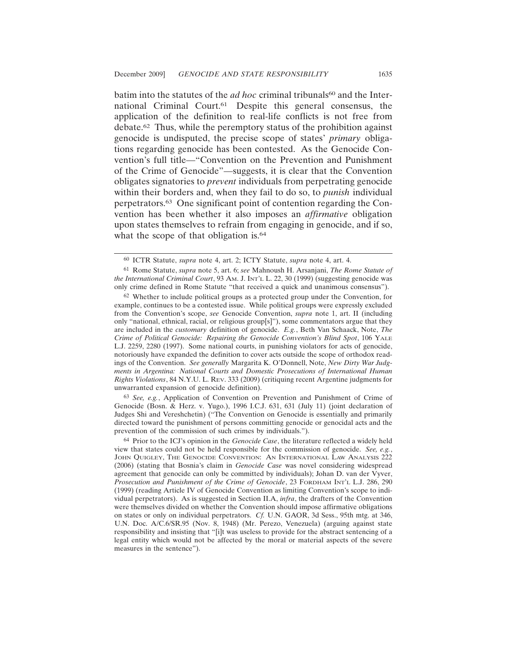batim into the statutes of the *ad hoc* criminal tribunals<sup>60</sup> and the International Criminal Court.61 Despite this general consensus, the application of the definition to real-life conflicts is not free from debate.62 Thus, while the peremptory status of the prohibition against genocide is undisputed, the precise scope of states' *primary* obligations regarding genocide has been contested. As the Genocide Convention's full title—"Convention on the Prevention and Punishment of the Crime of Genocide"—suggests, it is clear that the Convention obligates signatories to *prevent* individuals from perpetrating genocide within their borders and, when they fail to do so, to *punish* individual perpetrators.63 One significant point of contention regarding the Convention has been whether it also imposes an *affirmative* obligation upon states themselves to refrain from engaging in genocide, and if so, what the scope of that obligation is.<sup>64</sup>

63 *See, e.g.*, Application of Convention on Prevention and Punishment of Crime of Genocide (Bosn. & Herz. v. Yugo.), 1996 I.C.J. 631, 631 (July 11) (joint declaration of Judges Shi and Vereshchetin) ("The Convention on Genocide is essentially and primarily directed toward the punishment of persons committing genocide or genocidal acts and the prevention of the commission of such crimes by individuals.").

<sup>60</sup> ICTR Statute, *supra* note 4, art. 2; ICTY Statute, *supra* note 4, art. 4.

<sup>61</sup> Rome Statute, *supra* note 5, art. 6; *see* Mahnoush H. Arsanjani, *The Rome Statute of the International Criminal Court*, 93 AM. J. INT'L L. 22, 30 (1999) (suggesting genocide was only crime defined in Rome Statute "that received a quick and unanimous consensus").

<sup>62</sup> Whether to include political groups as a protected group under the Convention, for example, continues to be a contested issue. While political groups were expressly excluded from the Convention's scope, *see* Genocide Convention, *supra* note 1, art. II (including only "national, ethnical, racial, or religious group[s]"), some commentators argue that they are included in the *customary* definition of genocide. *E.g.*, Beth Van Schaack, Note, *The Crime of Political Genocide: Repairing the Genocide Convention's Blind Spot*, 106 YALE L.J. 2259, 2280 (1997). Some national courts, in punishing violators for acts of genocide, notoriously have expanded the definition to cover acts outside the scope of orthodox readings of the Convention. *See generally* Margarita K. O'Donnell, Note, *New Dirty War Judgments in Argentina: National Courts and Domestic Prosecutions of International Human Rights Violations*, 84 N.Y.U. L. REV. 333 (2009) (critiquing recent Argentine judgments for unwarranted expansion of genocide definition).

<sup>64</sup> Prior to the ICJ's opinion in the *Genocide Case*, the literature reflected a widely held view that states could not be held responsible for the commission of genocide. *See, e.g.*, JOHN QUIGLEY, THE GENOCIDE CONVENTION: AN INTERNATIONAL LAW ANALYSIS 222 (2006) (stating that Bosnia's claim in *Genocide Case* was novel considering widespread agreement that genocide can only be committed by individuals); Johan D. van der Vyver, *Prosecution and Punishment of the Crime of Genocide*, 23 FORDHAM INT'L L.J. 286, 290 (1999) (reading Article IV of Genocide Convention as limiting Convention's scope to individual perpetrators). As is suggested in Section II.A, *infra*, the drafters of the Convention were themselves divided on whether the Convention should impose affirmative obligations on states or only on individual perpetrators. *Cf.* U.N. GAOR, 3d Sess., 95th mtg. at 346, U.N. Doc. A/C.6/SR.95 (Nov. 8, 1948) (Mr. Perezo, Venezuela) (arguing against state responsibility and insisting that "[i]t was useless to provide for the abstract sentencing of a legal entity which would not be affected by the moral or material aspects of the severe measures in the sentence").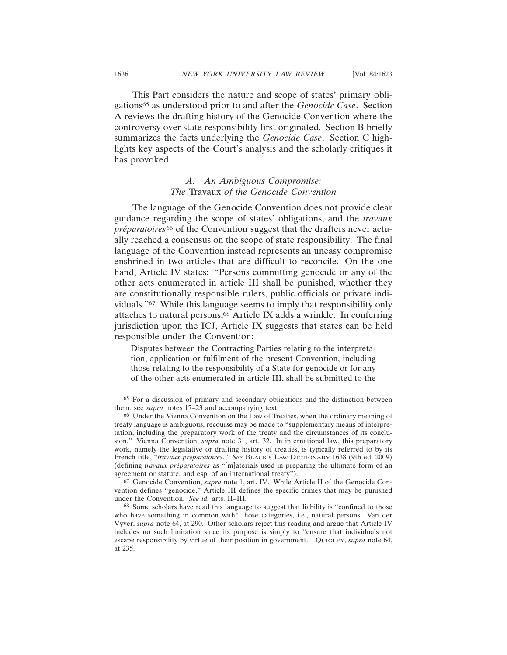This Part considers the nature and scope of states' primary obligations65 as understood prior to and after the *Genocide Case*. Section A reviews the drafting history of the Genocide Convention where the controversy over state responsibility first originated. Section B briefly summarizes the facts underlying the *Genocide Case*. Section C highlights key aspects of the Court's analysis and the scholarly critiques it has provoked.

## *A. An Ambiguous Compromise: The* Travaux *of the Genocide Convention*

The language of the Genocide Convention does not provide clear guidance regarding the scope of states' obligations, and the *travaux préparatoires*<sup>66</sup> of the Convention suggest that the drafters never actually reached a consensus on the scope of state responsibility. The final language of the Convention instead represents an uneasy compromise enshrined in two articles that are difficult to reconcile. On the one hand, Article IV states: "Persons committing genocide or any of the other acts enumerated in article III shall be punished, whether they are constitutionally responsible rulers, public officials or private individuals."67 While this language seems to imply that responsibility only attaches to natural persons,68 Article IX adds a wrinkle. In conferring jurisdiction upon the ICJ, Article IX suggests that states can be held responsible under the Convention:

Disputes between the Contracting Parties relating to the interpretation, application or fulfilment of the present Convention, including those relating to the responsibility of a State for genocide or for any of the other acts enumerated in article III, shall be submitted to the

67 Genocide Convention, *supra* note 1, art. IV. While Article II of the Genocide Convention defines "genocide," Article III defines the specific crimes that may be punished under the Convention. *See id.* arts. II–III.

68 Some scholars have read this language to suggest that liability is "confined to those who have something in common with" those categories, i.e., natural persons. Van der Vyver, *supra* note 64, at 290. Other scholars reject this reading and argue that Article IV includes no such limitation since its purpose is simply to "ensure that individuals not escape responsibility by virtue of their position in government." QUIGLEY, *supra* note 64, at 235.

<sup>65</sup> For a discussion of primary and secondary obligations and the distinction between them, see *supra* notes 17–23 and accompanying text.

<sup>66</sup> Under the Vienna Convention on the Law of Treaties, when the ordinary meaning of treaty language is ambiguous, recourse may be made to "supplementary means of interpretation, including the preparatory work of the treaty and the circumstances of its conclusion." Vienna Convention, *supra* note 31, art. 32. In international law, this preparatory work, namely the legislative or drafting history of treaties, is typically referred to by its French title, "*travaux préparatoires*." *See BLACK's LAW DICTIONARY* 1638 (9th ed. 2009) (defining *travaux préparatoires* as "[m]aterials used in preparing the ultimate form of an agreement or statute, and esp. of an international treaty").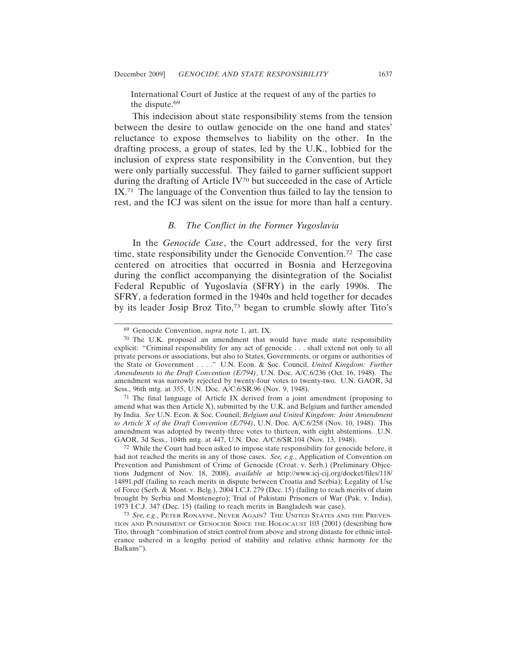International Court of Justice at the request of any of the parties to the dispute.69

This indecision about state responsibility stems from the tension between the desire to outlaw genocide on the one hand and states' reluctance to expose themselves to liability on the other. In the drafting process, a group of states, led by the U.K., lobbied for the inclusion of express state responsibility in the Convention, but they were only partially successful. They failed to garner sufficient support during the drafting of Article IV70 but succeeded in the case of Article IX.71 The language of the Convention thus failed to lay the tension to rest, and the ICJ was silent on the issue for more than half a century.

#### *B. The Conflict in the Former Yugoslavia*

In the *Genocide Case*, the Court addressed, for the very first time, state responsibility under the Genocide Convention.72 The case centered on atrocities that occurred in Bosnia and Herzegovina during the conflict accompanying the disintegration of the Socialist Federal Republic of Yugoslavia (SFRY) in the early 1990s. The SFRY, a federation formed in the 1940s and held together for decades by its leader Josip Broz Tito,73 began to crumble slowly after Tito's

72 While the Court had been asked to impose state responsibility for genocide before, it had not reached the merits in any of those cases. *See, e.g.*, Application of Convention on Prevention and Punishment of Crime of Genocide (Croat. v. Serb.) (Preliminary Objections Judgment of Nov. 18, 2008), *available at* http://www.icj-cij.org/docket/files/118/ 14891.pdf (failing to reach merits in dispute between Croatia and Serbia); Legality of Use of Force (Serb. & Mont. v. Belg.), 2004 I.C.J. 279 (Dec. 15) (failing to reach merits of claim brought by Serbia and Montenegro); Trial of Pakistani Prisoners of War (Pak. v. India), 1973 I.C.J. 347 (Dec. 15) (failing to reach merits in Bangladesh war case).

<sup>69</sup> Genocide Convention, *supra* note 1, art. IX.

<sup>70</sup> The U.K. proposed an amendment that would have made state responsibility explicit: "Criminal responsibility for any act of genocide . . . shall extend not only to all private persons or associations, but also to States, Governments, or organs or authorities of the State or Government . . . ." U.N. Econ. & Soc. Council, *United Kingdom: Further Amendments to the Draft Convention (E/794)*, U.N. Doc. A/C.6/236 (Oct. 16, 1948). The amendment was narrowly rejected by twenty-four votes to twenty-two. U.N. GAOR, 3d Sess., 96th mtg. at 355, U.N. Doc. A/C.6/SR.96 (Nov. 9, 1948).

<sup>71</sup> The final language of Article IX derived from a joint amendment (proposing to amend what was then Article X), submitted by the U.K. and Belgium and further amended by India. *See* U.N. Econ. & Soc. Council, *Belgium and United Kingdom: Joint Amendment to Article X of the Draft Convention (E/794)*, U.N. Doc. A/C.6/258 (Nov. 10, 1948). This amendment was adopted by twenty-three votes to thirteen, with eight abstentions. U.N. GAOR, 3d Sess., 104th mtg. at 447, U.N. Doc. A/C.6/SR.104 (Nov. 13, 1948).

<sup>73</sup> *See, e.g.*, PETER RONAYNE, NEVER AGAIN? THE UNITED STATES AND THE PREVEN-TION AND PUNISHMENT OF GENOCIDE SINCE THE HOLOCAUST 103 (2001) (describing how Tito, through "combination of strict control from above and strong distaste for ethnic intolerance ushered in a lengthy period of stability and relative ethnic harmony for the Balkans").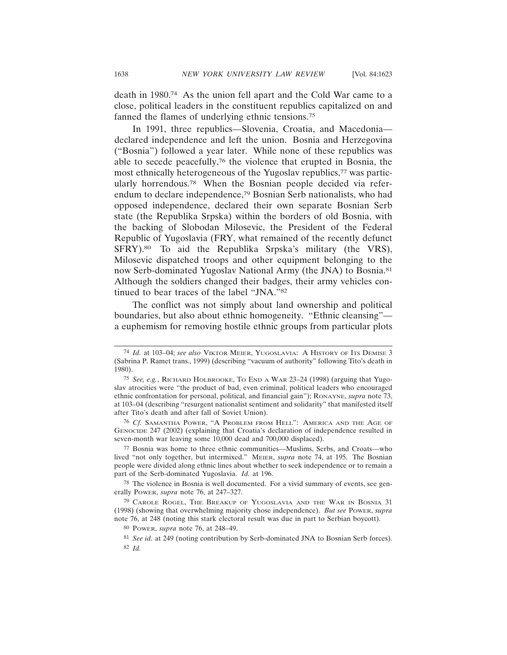death in 1980.74 As the union fell apart and the Cold War came to a close, political leaders in the constituent republics capitalized on and fanned the flames of underlying ethnic tensions.75

In 1991, three republics—Slovenia, Croatia, and Macedonia declared independence and left the union. Bosnia and Herzegovina ("Bosnia") followed a year later. While none of these republics was able to secede peacefully,76 the violence that erupted in Bosnia, the most ethnically heterogeneous of the Yugoslav republics,77 was particularly horrendous.78 When the Bosnian people decided via referendum to declare independence,79 Bosnian Serb nationalists, who had opposed independence, declared their own separate Bosnian Serb state (the Republika Srpska) within the borders of old Bosnia, with the backing of Slobodan Milosevic, the President of the Federal Republic of Yugoslavia (FRY, what remained of the recently defunct SFRY).80 To aid the Republika Srpska's military (the VRS), Milosevic dispatched troops and other equipment belonging to the now Serb-dominated Yugoslav National Army (the JNA) to Bosnia.81 Although the soldiers changed their badges, their army vehicles continued to bear traces of the label "JNA."82

The conflict was not simply about land ownership and political boundaries, but also about ethnic homogeneity. "Ethnic cleansing" a euphemism for removing hostile ethnic groups from particular plots

<sup>74</sup> *Id.* at 103–04; *see also* VIKTOR MEIER, YUGOSLAVIA: A HISTORY OF ITS DEMISE 3 (Sabrina P. Ramet trans., 1999) (describing "vacuum of authority" following Tito's death in 1980).

<sup>75</sup> *See, e.g.*, RICHARD HOLBROOKE, TO END A WAR 23–24 (1998) (arguing that Yugoslav atrocities were "the product of bad, even criminal, political leaders who encouraged ethnic confrontation for personal, political, and financial gain"); RONAYNE, *supra* note 73, at 103–04 (describing "resurgent nationalist sentiment and solidarity" that manifested itself after Tito's death and after fall of Soviet Union).

<sup>76</sup> *Cf.* SAMANTHA POWER, "A PROBLEM FROM HELL": AMERICA AND THE AGE OF GENOCIDE 247 (2002) (explaining that Croatia's declaration of independence resulted in seven-month war leaving some 10,000 dead and 700,000 displaced).

<sup>77</sup> Bosnia was home to three ethnic communities—Muslims, Serbs, and Croats—who lived "not only together, but intermixed." MEIER, *supra* note 74, at 195. The Bosnian people were divided along ethnic lines about whether to seek independence or to remain a part of the Serb-dominated Yugoslavia. *Id.* at 196.

<sup>78</sup> The violence in Bosnia is well documented. For a vivid summary of events, see generally POWER, *supra* note 76, at 247–327.

<sup>79</sup> CAROLE ROGEL, THE BREAKUP OF YUGOSLAVIA AND THE WAR IN BOSNIA 31 (1998) (showing that overwhelming majority chose independence). *But see* POWER, *supra* note 76, at 248 (noting this stark electoral result was due in part to Serbian boycott).

<sup>80</sup> POWER, *supra* note 76, at 248–49.

<sup>81</sup> *See id.* at 249 (noting contribution by Serb-dominated JNA to Bosnian Serb forces). 82 *Id.*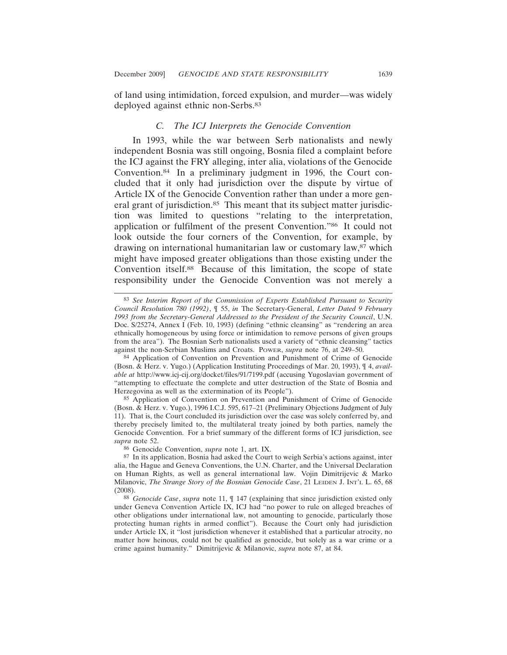of land using intimidation, forced expulsion, and murder—was widely deployed against ethnic non-Serbs.<sup>83</sup>

#### *C. The ICJ Interprets the Genocide Convention*

In 1993, while the war between Serb nationalists and newly independent Bosnia was still ongoing, Bosnia filed a complaint before the ICJ against the FRY alleging, inter alia, violations of the Genocide Convention.84 In a preliminary judgment in 1996, the Court concluded that it only had jurisdiction over the dispute by virtue of Article IX of the Genocide Convention rather than under a more general grant of jurisdiction.<sup>85</sup> This meant that its subject matter jurisdiction was limited to questions "relating to the interpretation, application or fulfilment of the present Convention."86 It could not look outside the four corners of the Convention, for example, by drawing on international humanitarian law or customary law,87 which might have imposed greater obligations than those existing under the Convention itself.88 Because of this limitation, the scope of state responsibility under the Genocide Convention was not merely a

<sup>83</sup> *See Interim Report of the Commission of Experts Established Pursuant to Security Council Resolution 780 (1992)*, ¶ 55, *in* The Secretary-General, *Letter Dated 9 February 1993 from the Secretary-General Addressed to the President of the Security Council*, U.N. Doc. S/25274, Annex I (Feb. 10, 1993) (defining "ethnic cleansing" as "rendering an area ethnically homogeneous by using force or intimidation to remove persons of given groups from the area"). The Bosnian Serb nationalists used a variety of "ethnic cleansing" tactics against the non-Serbian Muslims and Croats. POWER, *supra* note 76, at 249–50.

<sup>84</sup> Application of Convention on Prevention and Punishment of Crime of Genocide (Bosn. & Herz. v. Yugo.) (Application Instituting Proceedings of Mar. 20, 1993), ¶ 4, *available at* http://www.icj-cij.org/docket/files/91/7199.pdf (accusing Yugoslavian government of "attempting to effectuate the complete and utter destruction of the State of Bosnia and Herzegovina as well as the extermination of its People").

<sup>85</sup> Application of Convention on Prevention and Punishment of Crime of Genocide (Bosn. & Herz. v. Yugo.), 1996 I.C.J. 595, 617–21 (Preliminary Objections Judgment of July 11). That is, the Court concluded its jurisdiction over the case was solely conferred by, and thereby precisely limited to, the multilateral treaty joined by both parties, namely the Genocide Convention. For a brief summary of the different forms of ICJ jurisdiction, see *supra* note 52.

<sup>86</sup> Genocide Convention, *supra* note 1, art. IX.

<sup>87</sup> In its application, Bosnia had asked the Court to weigh Serbia's actions against, inter alia, the Hague and Geneva Conventions, the U.N. Charter, and the Universal Declaration on Human Rights, as well as general international law. Vojin Dimitrijevic & Marko Milanovic, *The Strange Story of the Bosnian Genocide Case*, 21 LEIDEN J. INT'L L. 65, 68 (2008).

<sup>88</sup> *Genocide Case*, *supra* note 11, ¶ 147 (explaining that since jurisdiction existed only under Geneva Convention Article IX, ICJ had "no power to rule on alleged breaches of other obligations under international law, not amounting to genocide, particularly those protecting human rights in armed conflict"). Because the Court only had jurisdiction under Article IX, it "lost jurisdiction whenever it established that a particular atrocity, no matter how heinous, could not be qualified as genocide, but solely as a war crime or a crime against humanity." Dimitrijevic & Milanovic, *supra* note 87, at 84.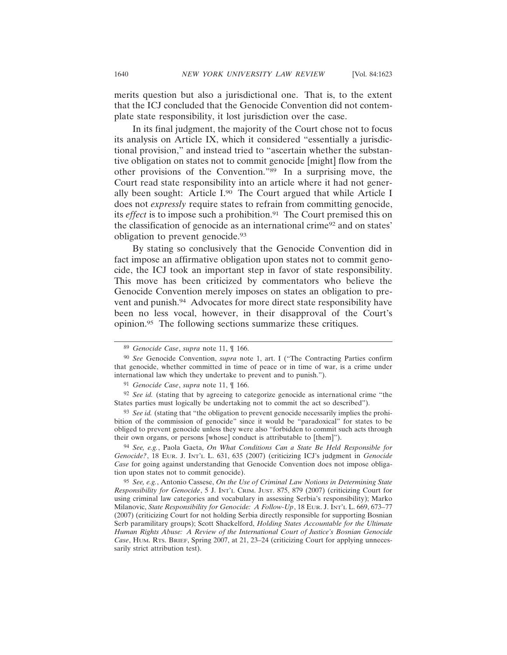merits question but also a jurisdictional one. That is, to the extent that the ICJ concluded that the Genocide Convention did not contemplate state responsibility, it lost jurisdiction over the case.

In its final judgment, the majority of the Court chose not to focus its analysis on Article IX, which it considered "essentially a jurisdictional provision," and instead tried to "ascertain whether the substantive obligation on states not to commit genocide [might] flow from the other provisions of the Convention."89 In a surprising move, the Court read state responsibility into an article where it had not generally been sought: Article I.90 The Court argued that while Article I does not *expressly* require states to refrain from committing genocide, its *effect* is to impose such a prohibition.<sup>91</sup> The Court premised this on the classification of genocide as an international crime92 and on states' obligation to prevent genocide.93

By stating so conclusively that the Genocide Convention did in fact impose an affirmative obligation upon states not to commit genocide, the ICJ took an important step in favor of state responsibility. This move has been criticized by commentators who believe the Genocide Convention merely imposes on states an obligation to prevent and punish.94 Advocates for more direct state responsibility have been no less vocal, however, in their disapproval of the Court's opinion.95 The following sections summarize these critiques.

94 *See, e.g.*, Paola Gaeta, *On What Conditions Can a State Be Held Responsible for Genocide?*, 18 EUR. J. INT'L L. 631, 635 (2007) (criticizing ICJ's judgment in *Genocide Case* for going against understanding that Genocide Convention does not impose obligation upon states not to commit genocide).

<sup>89</sup> *Genocide Case*, *supra* note 11, ¶ 166.

<sup>90</sup> *See* Genocide Convention, *supra* note 1, art. I ("The Contracting Parties confirm that genocide, whether committed in time of peace or in time of war, is a crime under international law which they undertake to prevent and to punish.").

<sup>91</sup> *Genocide Case*, *supra* note 11, ¶ 166.

<sup>&</sup>lt;sup>92</sup> *See id.* (stating that by agreeing to categorize genocide as international crime "the States parties must logically be undertaking not to commit the act so described").

<sup>&</sup>lt;sup>93</sup> See id. (stating that "the obligation to prevent genocide necessarily implies the prohibition of the commission of genocide" since it would be "paradoxical" for states to be obliged to prevent genocide unless they were also "forbidden to commit such acts through their own organs, or persons [whose] conduct is attributable to [them]").

<sup>95</sup> *See, e.g.*, Antonio Cassese, *On the Use of Criminal Law Notions in Determining State Responsibility for Genocide*, 5 J. INT'L CRIM. JUST. 875, 879 (2007) (criticizing Court for using criminal law categories and vocabulary in assessing Serbia's responsibility); Marko Milanovic, *State Responsibility for Genocide: A Follow-Up*, 18 EUR. J. INT'L L. 669, 673–77 (2007) (criticizing Court for not holding Serbia directly responsible for supporting Bosnian Serb paramilitary groups); Scott Shackelford, *Holding States Accountable for the Ultimate Human Rights Abuse: A Review of the International Court of Justice's Bosnian Genocide Case*, HUM. RTS. BRIEF, Spring 2007, at 21, 23–24 (criticizing Court for applying unnecessarily strict attribution test).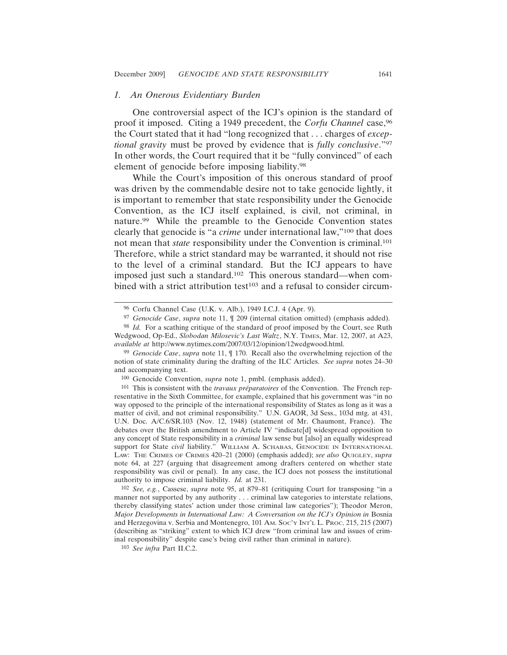#### *1. An Onerous Evidentiary Burden*

One controversial aspect of the ICJ's opinion is the standard of proof it imposed. Citing a 1949 precedent, the *Corfu Channel* case,96 the Court stated that it had "long recognized that . . . charges of *exceptional gravity* must be proved by evidence that is *fully conclusive*."97 In other words, the Court required that it be "fully convinced" of each element of genocide before imposing liability.98

While the Court's imposition of this onerous standard of proof was driven by the commendable desire not to take genocide lightly, it is important to remember that state responsibility under the Genocide Convention, as the ICJ itself explained, is civil, not criminal, in nature.99 While the preamble to the Genocide Convention states clearly that genocide is "a *crime* under international law,"100 that does not mean that *state* responsibility under the Convention is criminal.101 Therefore, while a strict standard may be warranted, it should not rise to the level of a criminal standard. But the ICJ appears to have imposed just such a standard.102 This onerous standard—when combined with a strict attribution test<sup>103</sup> and a refusal to consider circum-

100 Genocide Convention, *supra* note 1, pmbl. (emphasis added).

102 *See, e.g.*, Cassese, *supra* note 95, at 879–81 (critiquing Court for transposing "in a manner not supported by any authority . . . criminal law categories to interstate relations, thereby classifying states' action under those criminal law categories"); Theodor Meron, *Major Developments in International Law: A Conversation on the ICJ's Opinion in* Bosnia and Herzegovina v. Serbia and Montenegro, 101 AM. SOC'Y INT'L L. PROC. 215, 215 (2007) (describing as "striking" extent to which ICJ drew "from criminal law and issues of criminal responsibility" despite case's being civil rather than criminal in nature).

103 *See infra* Part II.C.2.

<sup>96</sup> Corfu Channel Case (U.K. v. Alb.), 1949 I.C.J. 4 (Apr. 9).

<sup>97</sup> *Genocide Case*, *supra* note 11, ¶ 209 (internal citation omitted) (emphasis added).

<sup>98</sup> *Id.* For a scathing critique of the standard of proof imposed by the Court, see Ruth Wedgwood, Op-Ed., *Slobodan Milosevic's Last Waltz*, N.Y. TIMES, Mar. 12, 2007, at A23, *available at* http://www.nytimes.com/2007/03/12/opinion/12wedgwood.html.

<sup>99</sup> *Genocide Case*, *supra* note 11, ¶ 170. Recall also the overwhelming rejection of the notion of state criminality during the drafting of the ILC Articles. *See supra* notes 24–30 and accompanying text.

<sup>&</sup>lt;sup>101</sup> This is consistent with the *travaux préparatoires* of the Convention. The French representative in the Sixth Committee, for example, explained that his government was "in no way opposed to the principle of the international responsibility of States as long as it was a matter of civil, and not criminal responsibility." U.N. GAOR, 3d Sess., 103d mtg. at 431, U.N. Doc. A/C.6/SR.103 (Nov. 12, 1948) (statement of Mr. Chaumont, France). The debates over the British amendment to Article IV "indicate[d] widespread opposition to any concept of State responsibility in a *criminal* law sense but [also] an equally widespread support for State *civil* liability." WILLIAM A. SCHABAS, GENOCIDE IN INTERNATIONAL LAW: THE CRIMES OF CRIMES 420–21 (2000) (emphasis added); *see also* QUIGLEY, *supra* note 64, at 227 (arguing that disagreement among drafters centered on whether state responsibility was civil or penal). In any case, the ICJ does not possess the institutional authority to impose criminal liability. *Id.* at 231.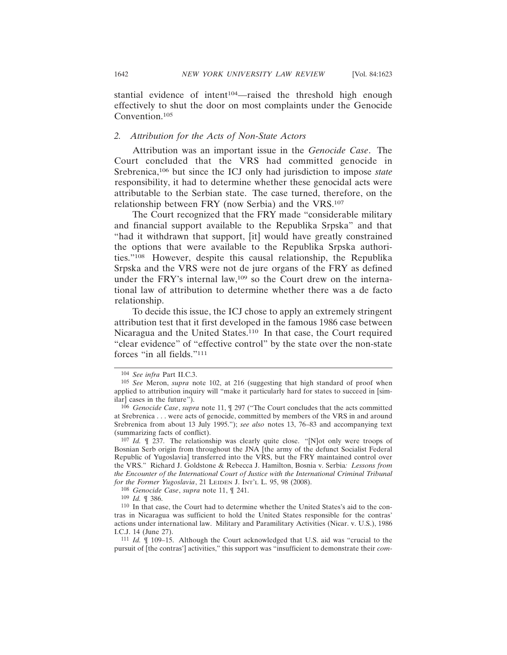stantial evidence of intent104—raised the threshold high enough effectively to shut the door on most complaints under the Genocide Convention.105

#### *2. Attribution for the Acts of Non-State Actors*

Attribution was an important issue in the *Genocide Case*. The Court concluded that the VRS had committed genocide in Srebrenica,106 but since the ICJ only had jurisdiction to impose *state* responsibility, it had to determine whether these genocidal acts were attributable to the Serbian state. The case turned, therefore, on the relationship between FRY (now Serbia) and the VRS.107

The Court recognized that the FRY made "considerable military and financial support available to the Republika Srpska" and that "had it withdrawn that support, [it] would have greatly constrained the options that were available to the Republika Srpska authorities."108 However, despite this causal relationship, the Republika Srpska and the VRS were not de jure organs of the FRY as defined under the FRY's internal law,109 so the Court drew on the international law of attribution to determine whether there was a de facto relationship.

To decide this issue, the ICJ chose to apply an extremely stringent attribution test that it first developed in the famous 1986 case between Nicaragua and the United States.110 In that case, the Court required "clear evidence" of "effective control" by the state over the non-state forces "in all fields."111

108 *Genocide Case*, *supra* note 11, ¶ 241.

109 *Id.* ¶ 386.

<sup>104</sup> *See infra* Part II.C.3.

<sup>105</sup> *See* Meron, *supra* note 102, at 216 (suggesting that high standard of proof when applied to attribution inquiry will "make it particularly hard for states to succeed in [similar] cases in the future").

<sup>106</sup> *Genocide Case*, *supra* note 11, ¶ 297 ("The Court concludes that the acts committed at Srebrenica . . . were acts of genocide, committed by members of the VRS in and around Srebrenica from about 13 July 1995."); *see also* notes 13, 76–83 and accompanying text (summarizing facts of conflict).

<sup>107</sup> *Id.* ¶ 237. The relationship was clearly quite close. "[N]ot only were troops of Bosnian Serb origin from throughout the JNA [the army of the defunct Socialist Federal Republic of Yugoslavia] transferred into the VRS, but the FRY maintained control over the VRS." Richard J. Goldstone & Rebecca J. Hamilton, Bosnia v. Serbia*: Lessons from the Encounter of the International Court of Justice with the International Criminal Tribunal for the Former Yugoslavia*, 21 LEIDEN J. INT'L L. 95, 98 (2008).

<sup>110</sup> In that case, the Court had to determine whether the United States's aid to the contras in Nicaragua was sufficient to hold the United States responsible for the contras' actions under international law. Military and Paramilitary Activities (Nicar. v. U.S.), 1986 I.C.J. 14 (June 27).

<sup>111</sup> *Id.* ¶ 109–15. Although the Court acknowledged that U.S. aid was "crucial to the pursuit of [the contras'] activities," this support was "insufficient to demonstrate their *com-*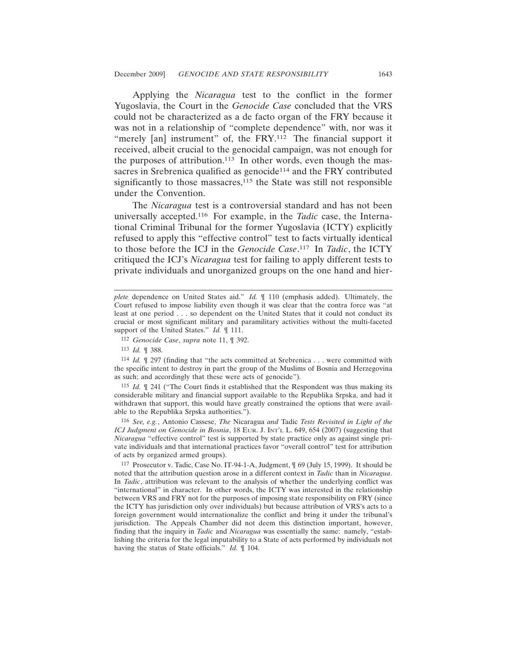Applying the *Nicaragua* test to the conflict in the former Yugoslavia, the Court in the *Genocide Case* concluded that the VRS could not be characterized as a de facto organ of the FRY because it was not in a relationship of "complete dependence" with, nor was it "merely [an] instrument" of, the FRY.<sup>112</sup> The financial support it received, albeit crucial to the genocidal campaign, was not enough for the purposes of attribution.<sup>113</sup> In other words, even though the massacres in Srebrenica qualified as genocide<sup>114</sup> and the FRY contributed significantly to those massacres, $115$  the State was still not responsible under the Convention.

The *Nicaragua* test is a controversial standard and has not been universally accepted.116 For example, in the *Tadic* case, the International Criminal Tribunal for the former Yugoslavia (ICTY) explicitly refused to apply this "effective control" test to facts virtually identical to those before the ICJ in the *Genocide Case*. 117 In *Tadic*, the ICTY critiqued the ICJ's *Nicaragua* test for failing to apply different tests to private individuals and unorganized groups on the one hand and hier-

112 *Genocide Case*, *supra* note 11, ¶ 392.

114 *Id.* ¶ 297 (finding that "the acts committed at Srebrenica . . . were committed with the specific intent to destroy in part the group of the Muslims of Bosnia and Herzegovina as such; and accordingly that these were acts of genocide").

115 *Id.* ¶ 241 ("The Court finds it established that the Respondent was thus making its considerable military and financial support available to the Republika Srpska, and had it withdrawn that support, this would have greatly constrained the options that were available to the Republika Srpska authorities.").

116 *See, e.g.*, Antonio Cassese, *The* Nicaragua *and* Tadic *Tests Revisited in Light of the ICJ Judgment on Genocide in Bosnia*, 18 EUR. J. INT'L L. 649, 654 (2007) (suggesting that *Nicaragua* "effective control" test is supported by state practice only as against single private individuals and that international practices favor "overall control" test for attribution of acts by organized armed groups).

117 Prosecutor v. Tadic, Case No. IT-94-1-A, Judgment, ¶ 69 (July 15, 1999). It should be noted that the attribution question arose in a different context in *Tadic* than in *Nicaragua*. In *Tadic*, attribution was relevant to the analysis of whether the underlying conflict was "international" in character. In other words, the ICTY was interested in the relationship between VRS and FRY not for the purposes of imposing state responsibility on FRY (since the ICTY has jurisdiction only over individuals) but because attribution of VRS's acts to a foreign government would internationalize the conflict and bring it under the tribunal's jurisdiction. The Appeals Chamber did not deem this distinction important, however, finding that the inquiry in *Tadic* and *Nicaragua* was essentially the same: namely, "establishing the criteria for the legal imputability to a State of acts performed by individuals not having the status of State officials." *Id.* ¶ 104.

*plete* dependence on United States aid." *Id.* ¶ 110 (emphasis added). Ultimately, the Court refused to impose liability even though it was clear that the contra force was "at least at one period . . . so dependent on the United States that it could not conduct its crucial or most significant military and paramilitary activities without the multi-faceted support of the United States." *Id.*  $[$  111.

<sup>113</sup> *Id.* ¶ 388.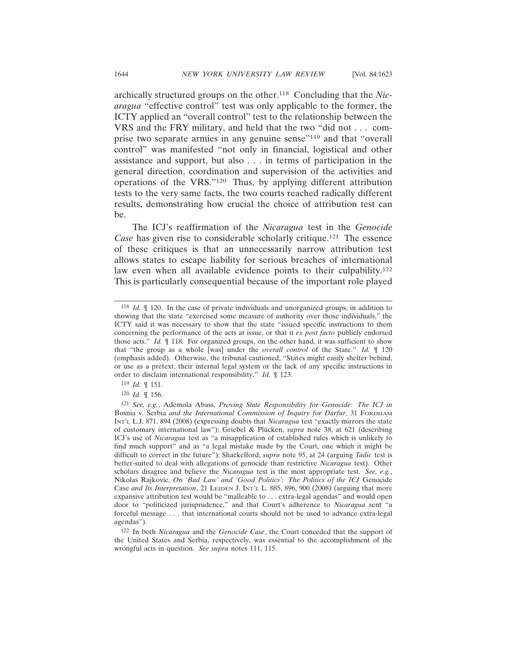archically structured groups on the other.118 Concluding that the *Nicaragua* "effective control" test was only applicable to the former, the ICTY applied an "overall control" test to the relationship between the VRS and the FRY military, and held that the two "did not . . . comprise two separate armies in any genuine sense"119 and that "overall control" was manifested "not only in financial, logistical and other assistance and support, but also . . . in terms of participation in the general direction, coordination and supervision of the activities and operations of the VRS."120 Thus, by applying different attribution tests to the very same facts, the two courts reached radically different results, demonstrating how crucial the choice of attribution test can be.

The ICJ's reaffirmation of the *Nicaragua* test in the *Genocide Case* has given rise to considerable scholarly critique.<sup>121</sup> The essence of these critiques is that an unnecessarily narrow attribution test allows states to escape liability for serious breaches of international law even when all available evidence points to their culpability.<sup>122</sup> This is particularly consequential because of the important role played

- 119 *Id.* ¶ 151.
- 120 *Id.* ¶ 156.

<sup>118</sup> *Id.* ¶ 120. In the case of private individuals and unorganized groups, in addition to showing that the state "exercised some measure of authority over those individuals," the ICTY said it was necessary to show that the state "issued specific instructions to them concerning the performance of the acts at issue, or that it *ex post facto* publicly endorsed those acts." *Id.* ¶ 118. For organized groups, on the other hand, it was sufficient to show that "the group as a whole [was] under the *overall control* of the State." *Id.* ¶ 120 (emphasis added). Otherwise, the tribunal cautioned, "States might easily shelter behind, or use as a pretext, their internal legal system or the lack of any specific instructions in order to disclaim international responsibility." *Id.* ¶ 123.

<sup>121</sup> *See, e.g.*, Ademola Abass, *Proving State Responsibility for Genocide: The ICJ in* Bosnia v. Serbia *and the International Commission of Inquiry for Darfur*, 31 FORDHAM INT'L L.J. 871, 894 (2008) (expressing doubts that *Nicaragua* test "exactly mirrors the state of customary international law"); Griebel & Plücken, *supra* note 38, at 621 (describing ICJ's use of *Nicaragua* test as "a misapplication of established rules which is unlikely to find much support" and as "a legal mistake made by the Court, one which it might be difficult to correct in the future"); Shackelford, *supra* note 95, at 24 (arguing *Tadic* test is better-suited to deal with allegations of genocide than restrictive *Nicaragua* test). Other scholars disagree and believe the *Nicaragua* test is the most appropriate test. *See, e.g.*, Nikolas Rajkovic, *On 'Bad Law' and 'Good Politics': The Politics of the ICJ* Genocide Case *and Its Interpretation*, 21 LEIDEN J. INT'L L. 885, 896, 900 (2008) (arguing that more expansive attribution test would be "malleable to . . . extra-legal agendas" and would open door to "politicized jurisprudence," and that Court's adherence to *Nicaragua* sent "a forceful message . . . that international courts should not be used to advance extra-legal agendas").

<sup>122</sup> In both *Nicaragua* and the *Genocide Case*, the Court conceded that the support of the United States and Serbia, respectively, was essential to the accomplishment of the wrongful acts in question. *See supra* notes 111, 115.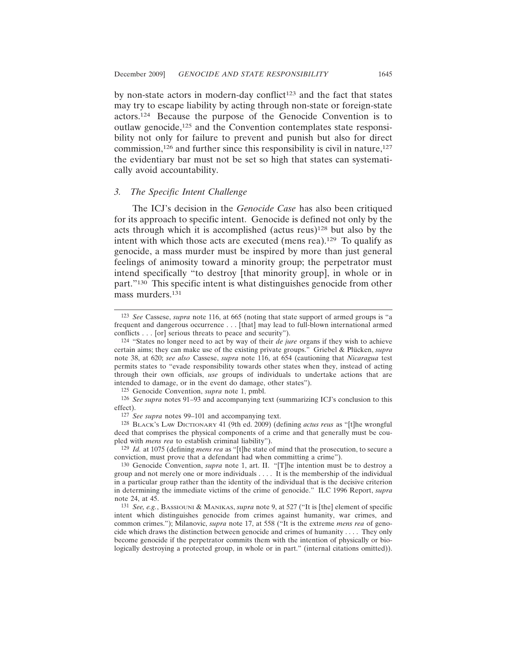by non-state actors in modern-day conflict<sup>123</sup> and the fact that states may try to escape liability by acting through non-state or foreign-state actors.124 Because the purpose of the Genocide Convention is to outlaw genocide,125 and the Convention contemplates state responsibility not only for failure to prevent and punish but also for direct commission,126 and further since this responsibility is civil in nature,127 the evidentiary bar must not be set so high that states can systematically avoid accountability.

#### *3. The Specific Intent Challenge*

The ICJ's decision in the *Genocide Case* has also been critiqued for its approach to specific intent. Genocide is defined not only by the acts through which it is accomplished (actus reus)128 but also by the intent with which those acts are executed (mens rea).129 To qualify as genocide, a mass murder must be inspired by more than just general feelings of animosity toward a minority group; the perpetrator must intend specifically "to destroy [that minority group], in whole or in part."130 This specific intent is what distinguishes genocide from other mass murders.131

<sup>123</sup> *See* Cassese, *supra* note 116, at 665 (noting that state support of armed groups is "a frequent and dangerous occurrence . . . [that] may lead to full-blown international armed conflicts . . . [or] serious threats to peace and security").

<sup>124</sup> "States no longer need to act by way of their *de jure* organs if they wish to achieve certain aims; they can make use of the existing private groups." Griebel & Plücken, *supra* note 38, at 620; *see also* Cassese, *supra* note 116, at 654 (cautioning that *Nicaragua* test permits states to "evade responsibility towards other states when they, instead of acting through their own officials, *use* groups of individuals to undertake actions that are intended to damage, or in the event do damage, other states").

<sup>125</sup> Genocide Convention, *supra* note 1, pmbl.

<sup>126</sup> *See supra* notes 91–93 and accompanying text (summarizing ICJ's conclusion to this effect).

<sup>127</sup> *See supra* notes 99–101 and accompanying text.

<sup>128</sup> BLACK'S LAW DICTIONARY 41 (9th ed. 2009) (defining *actus reus* as "[t]he wrongful deed that comprises the physical components of a crime and that generally must be coupled with *mens rea* to establish criminal liability").

<sup>129</sup> *Id.* at 1075 (defining *mens rea* as "[t]he state of mind that the prosecution, to secure a conviction, must prove that a defendant had when committing a crime").

<sup>130</sup> Genocide Convention, *supra* note 1, art. II. "[T]he intention must be to destroy a group and not merely one or more individuals . . . . It is the membership of the individual in a particular group rather than the identity of the individual that is the decisive criterion in determining the immediate victims of the crime of genocide." ILC 1996 Report, *supra* note 24, at 45.

<sup>131</sup> *See, e.g.*, BASSIOUNI & MANIKAS, *supra* note 9, at 527 ("It is [the] element of specific intent which distinguishes genocide from crimes against humanity, war crimes, and common crimes."); Milanovic, *supra* note 17, at 558 ("It is the extreme *mens rea* of genocide which draws the distinction between genocide and crimes of humanity . . . . They only become genocide if the perpetrator commits them with the intention of physically or biologically destroying a protected group, in whole or in part." (internal citations omitted)).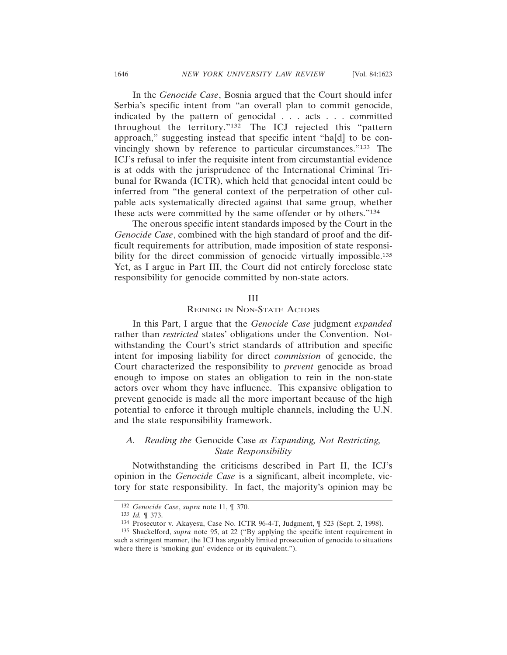In the *Genocide Case*, Bosnia argued that the Court should infer Serbia's specific intent from "an overall plan to commit genocide, indicated by the pattern of genocidal . . . acts . . . committed throughout the territory."132 The ICJ rejected this "pattern approach," suggesting instead that specific intent "ha[d] to be convincingly shown by reference to particular circumstances."133 The ICJ's refusal to infer the requisite intent from circumstantial evidence is at odds with the jurisprudence of the International Criminal Tribunal for Rwanda (ICTR), which held that genocidal intent could be inferred from "the general context of the perpetration of other culpable acts systematically directed against that same group, whether these acts were committed by the same offender or by others."134

The onerous specific intent standards imposed by the Court in the *Genocide Case*, combined with the high standard of proof and the difficult requirements for attribution, made imposition of state responsibility for the direct commission of genocide virtually impossible.<sup>135</sup> Yet, as I argue in Part III, the Court did not entirely foreclose state responsibility for genocide committed by non-state actors.

#### III

## REINING IN NON-STATE ACTORS

In this Part, I argue that the *Genocide Case* judgment *expanded* rather than *restricted* states' obligations under the Convention. Notwithstanding the Court's strict standards of attribution and specific intent for imposing liability for direct *commission* of genocide, the Court characterized the responsibility to *prevent* genocide as broad enough to impose on states an obligation to rein in the non-state actors over whom they have influence. This expansive obligation to prevent genocide is made all the more important because of the high potential to enforce it through multiple channels, including the U.N. and the state responsibility framework.

## *A. Reading the* Genocide Case *as Expanding, Not Restricting, State Responsibility*

Notwithstanding the criticisms described in Part II, the ICJ's opinion in the *Genocide Case* is a significant, albeit incomplete, victory for state responsibility. In fact, the majority's opinion may be

<sup>132</sup> *Genocide Case*, *supra* note 11, ¶ 370.

<sup>133</sup> *Id.* ¶ 373.

<sup>134</sup> Prosecutor v. Akayesu, Case No. ICTR 96-4-T, Judgment, ¶ 523 (Sept. 2, 1998).

<sup>135</sup> Shackelford, *supra* note 95, at 22 ("By applying the specific intent requirement in such a stringent manner, the ICJ has arguably limited prosecution of genocide to situations where there is 'smoking gun' evidence or its equivalent.").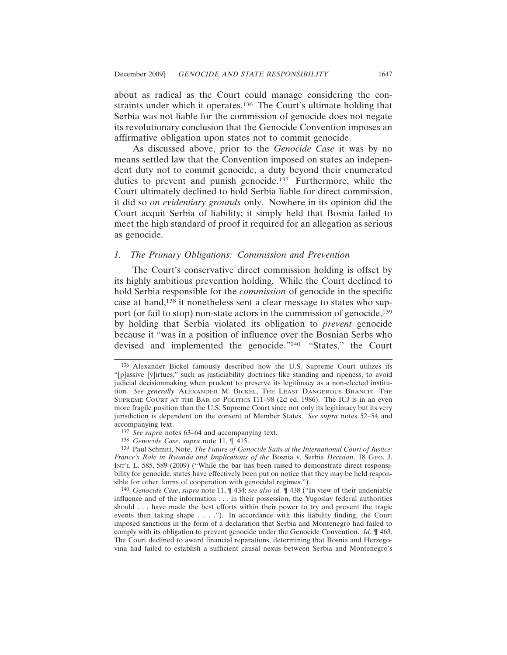about as radical as the Court could manage considering the constraints under which it operates.136 The Court's ultimate holding that Serbia was not liable for the commission of genocide does not negate its revolutionary conclusion that the Genocide Convention imposes an affirmative obligation upon states not to commit genocide.

As discussed above, prior to the *Genocide Case* it was by no means settled law that the Convention imposed on states an independent duty not to commit genocide, a duty beyond their enumerated duties to prevent and punish genocide.<sup>137</sup> Furthermore, while the Court ultimately declined to hold Serbia liable for direct commission, it did so *on evidentiary grounds* only. Nowhere in its opinion did the Court acquit Serbia of liability; it simply held that Bosnia failed to meet the high standard of proof it required for an allegation as serious as genocide.

#### *1. The Primary Obligations: Commission and Prevention*

The Court's conservative direct commission holding is offset by its highly ambitious prevention holding. While the Court declined to hold Serbia responsible for the *commission* of genocide in the specific case at hand,138 it nonetheless sent a clear message to states who support (or fail to stop) non-state actors in the commission of genocide,<sup>139</sup> by holding that Serbia violated its obligation to *prevent* genocide because it "was in a position of influence over the Bosnian Serbs who devised and implemented the genocide."140 "States," the Court

<sup>136</sup> Alexander Bickel famously described how the U.S. Supreme Court utilizes its "[p]assive [v]irtues," such as justiciability doctrines like standing and ripeness, to avoid judicial decisionmaking when prudent to preserve its legitimacy as a non-elected institution. *See generally* ALEXANDER M. BICKEL, THE LEAST DANGEROUS BRANCH: THE SUPREME COURT AT THE BAR OF POLITICS 111–98 (2d ed. 1986). The ICJ is in an even more fragile position than the U.S. Supreme Court since not only its legitimacy but its very jurisdiction is dependent on the consent of Member States. *See supra* notes 52–54 and accompanying text.

<sup>137</sup> *See supra* notes 63–64 and accompanying text.

<sup>138</sup> *Genocide Case*, *supra* note 11, ¶ 415.

<sup>139</sup> Paul Schmitt, Note, *The Future of Genocide Suits at the International Court of Justice: France's Role in Rwanda and Implications of the* Bosnia v. Serbia *Decision*, 18 GEO. J. INT'L L. 585, 589 (2009) ("While the bar has been raised to demonstrate direct responsibility for genocide, states have effectively been put on notice that they may be held responsible for other forms of cooperation with genocidal regimes.").

<sup>140</sup> *Genocide Case*, *supra* note 11, ¶ 434; *see also id.* ¶ 438 ("In view of their undeniable influence and of the information . . . in their possession, the Yugoslav federal authorities should . . . have made the best efforts within their power to try and prevent the tragic events then taking shape . . . ."). In accordance with this liability finding, the Court imposed sanctions in the form of a declaration that Serbia and Montenegro had failed to comply with its obligation to prevent genocide under the Genocide Convention. *Id.* ¶ 463. The Court declined to award financial reparations, determining that Bosnia and Herzegovina had failed to establish a sufficient causal nexus between Serbia and Montenegro's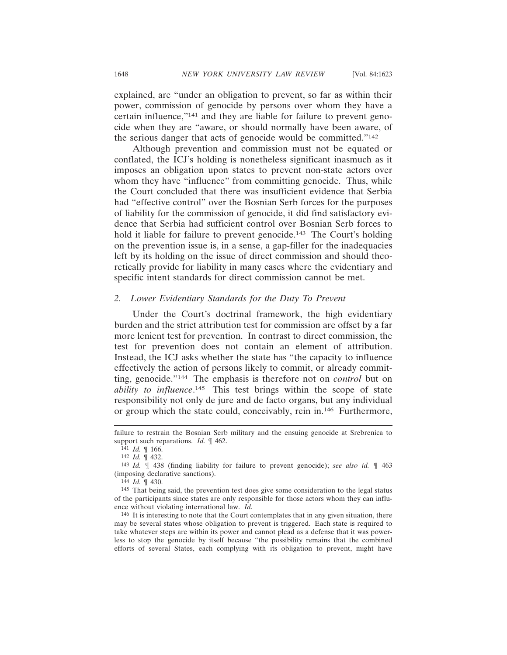explained, are "under an obligation to prevent, so far as within their power, commission of genocide by persons over whom they have a certain influence,"141 and they are liable for failure to prevent genocide when they are "aware, or should normally have been aware, of the serious danger that acts of genocide would be committed."142

Although prevention and commission must not be equated or conflated, the ICJ's holding is nonetheless significant inasmuch as it imposes an obligation upon states to prevent non-state actors over whom they have "influence" from committing genocide. Thus, while the Court concluded that there was insufficient evidence that Serbia had "effective control" over the Bosnian Serb forces for the purposes of liability for the commission of genocide, it did find satisfactory evidence that Serbia had sufficient control over Bosnian Serb forces to hold it liable for failure to prevent genocide.<sup>143</sup> The Court's holding on the prevention issue is, in a sense, a gap-filler for the inadequacies left by its holding on the issue of direct commission and should theoretically provide for liability in many cases where the evidentiary and specific intent standards for direct commission cannot be met.

#### *2. Lower Evidentiary Standards for the Duty To Prevent*

Under the Court's doctrinal framework, the high evidentiary burden and the strict attribution test for commission are offset by a far more lenient test for prevention. In contrast to direct commission, the test for prevention does not contain an element of attribution. Instead, the ICJ asks whether the state has "the capacity to influence effectively the action of persons likely to commit, or already committing, genocide."144 The emphasis is therefore not on *control* but on *ability to influence*. 145 This test brings within the scope of state responsibility not only de jure and de facto organs, but any individual or group which the state could, conceivably, rein in.146 Furthermore,

144 *Id.* ¶ 430.

146 It is interesting to note that the Court contemplates that in any given situation, there may be several states whose obligation to prevent is triggered. Each state is required to take whatever steps are within its power and cannot plead as a defense that it was powerless to stop the genocide by itself because "the possibility remains that the combined efforts of several States, each complying with its obligation to prevent, might have

failure to restrain the Bosnian Serb military and the ensuing genocide at Srebrenica to support such reparations. *Id.* ¶ 462.

<sup>141</sup> *Id.* ¶ 166.

<sup>142</sup> *Id.* ¶ 432.

<sup>143</sup> *Id.* ¶ 438 (finding liability for failure to prevent genocide); *see also id.* ¶ 463 (imposing declarative sanctions).

<sup>145</sup> That being said, the prevention test does give some consideration to the legal status of the participants since states are only responsible for those actors whom they can influence without violating international law. *Id.*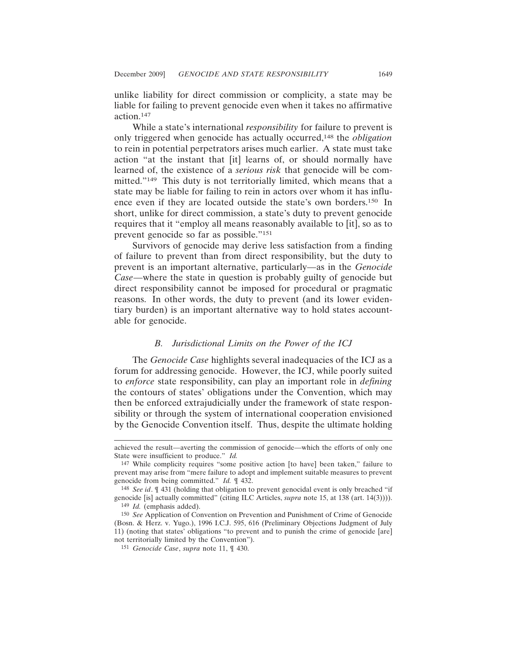unlike liability for direct commission or complicity, a state may be liable for failing to prevent genocide even when it takes no affirmative action.147

While a state's international *responsibility* for failure to prevent is only triggered when genocide has actually occurred,148 the *obligation* to rein in potential perpetrators arises much earlier. A state must take action "at the instant that [it] learns of, or should normally have learned of, the existence of a *serious risk* that genocide will be committed."149 This duty is not territorially limited, which means that a state may be liable for failing to rein in actors over whom it has influence even if they are located outside the state's own borders.150 In short, unlike for direct commission, a state's duty to prevent genocide requires that it "employ all means reasonably available to [it], so as to prevent genocide so far as possible."151

Survivors of genocide may derive less satisfaction from a finding of failure to prevent than from direct responsibility, but the duty to prevent is an important alternative, particularly—as in the *Genocide Case*—where the state in question is probably guilty of genocide but direct responsibility cannot be imposed for procedural or pragmatic reasons. In other words, the duty to prevent (and its lower evidentiary burden) is an important alternative way to hold states accountable for genocide.

#### *B. Jurisdictional Limits on the Power of the ICJ*

The *Genocide Case* highlights several inadequacies of the ICJ as a forum for addressing genocide. However, the ICJ, while poorly suited to *enforce* state responsibility, can play an important role in *defining* the contours of states' obligations under the Convention, which may then be enforced extrajudicially under the framework of state responsibility or through the system of international cooperation envisioned by the Genocide Convention itself. Thus, despite the ultimate holding

achieved the result—averting the commission of genocide—which the efforts of only one State were insufficient to produce." *Id.*

<sup>147</sup> While complicity requires "some positive action [to have] been taken," failure to prevent may arise from "mere failure to adopt and implement suitable measures to prevent genocide from being committed." *Id.* ¶ 432.

<sup>148</sup> *See id*. ¶ 431 (holding that obligation to prevent genocidal event is only breached "if genocide [is] actually committed" (citing ILC Articles, *supra* note 15, at 138 (art. 14(3)))). 149 *Id.* (emphasis added).

<sup>150</sup> *See* Application of Convention on Prevention and Punishment of Crime of Genocide (Bosn. & Herz. v. Yugo.), 1996 I.C.J. 595, 616 (Preliminary Objections Judgment of July 11) (noting that states' obligations "to prevent and to punish the crime of genocide [are] not territorially limited by the Convention").

<sup>151</sup> *Genocide Case*, *supra* note 11, ¶ 430.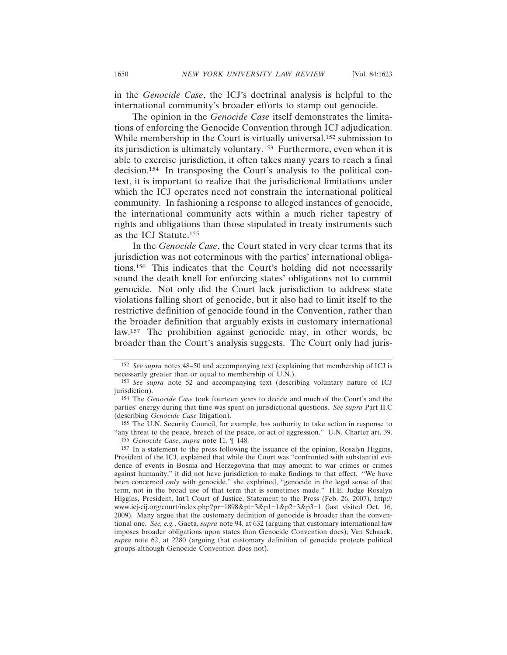in the *Genocide Case*, the ICJ's doctrinal analysis is helpful to the international community's broader efforts to stamp out genocide.

The opinion in the *Genocide Case* itself demonstrates the limitations of enforcing the Genocide Convention through ICJ adjudication. While membership in the Court is virtually universal,<sup>152</sup> submission to its jurisdiction is ultimately voluntary.153 Furthermore, even when it is able to exercise jurisdiction, it often takes many years to reach a final decision.154 In transposing the Court's analysis to the political context, it is important to realize that the jurisdictional limitations under which the ICJ operates need not constrain the international political community. In fashioning a response to alleged instances of genocide, the international community acts within a much richer tapestry of rights and obligations than those stipulated in treaty instruments such as the ICJ Statute.155

In the *Genocide Case*, the Court stated in very clear terms that its jurisdiction was not coterminous with the parties' international obligations.156 This indicates that the Court's holding did not necessarily sound the death knell for enforcing states' obligations not to commit genocide. Not only did the Court lack jurisdiction to address state violations falling short of genocide, but it also had to limit itself to the restrictive definition of genocide found in the Convention, rather than the broader definition that arguably exists in customary international law.157 The prohibition against genocide may, in other words, be broader than the Court's analysis suggests. The Court only had juris-

<sup>152</sup> *See supra* notes 48–50 and accompanying text (explaining that membership of ICJ is necessarily greater than or equal to membership of U.N.).

<sup>153</sup> *See supra* note 52 and accompanying text (describing voluntary nature of ICJ jurisdiction).

<sup>154</sup> The *Genocide Case* took fourteen years to decide and much of the Court's and the parties' energy during that time was spent on jurisdictional questions. *See supra* Part II.C (describing *Genocide Case* litigation).

<sup>155</sup> The U.N. Security Council, for example, has authority to take action in response to "any threat to the peace, breach of the peace, or act of aggression." U.N. Charter art. 39. 156 *Genocide Case*, *supra* note 11, ¶ 148.

<sup>157</sup> In a statement to the press following the issuance of the opinion, Rosalyn Higgins, President of the ICJ, explained that while the Court was "confronted with substantial evidence of events in Bosnia and Herzegovina that may amount to war crimes or crimes against humanity," it did not have jurisdiction to make findings to that effect. "We have been concerned *only* with genocide," she explained, "genocide in the legal sense of that term, not in the broad use of that term that is sometimes made." H.E. Judge Rosalyn Higgins, President, Int'l Court of Justice, Statement to the Press (Feb. 26, 2007), http:// www.icj-cij.org/court/index.php?pr=1898&pt=3&p1=1&p2=3&p3=1 (last visited Oct. 16, 2009). Many argue that the customary definition of genocide is broader than the conventional one. *See, e.g.*, Gaeta, *supra* note 94, at 632 (arguing that customary international law imposes broader obligations upon states than Genocide Convention does); Van Schaack, *supra* note 62, at 2280 (arguing that customary definition of genocide protects political groups although Genocide Convention does not).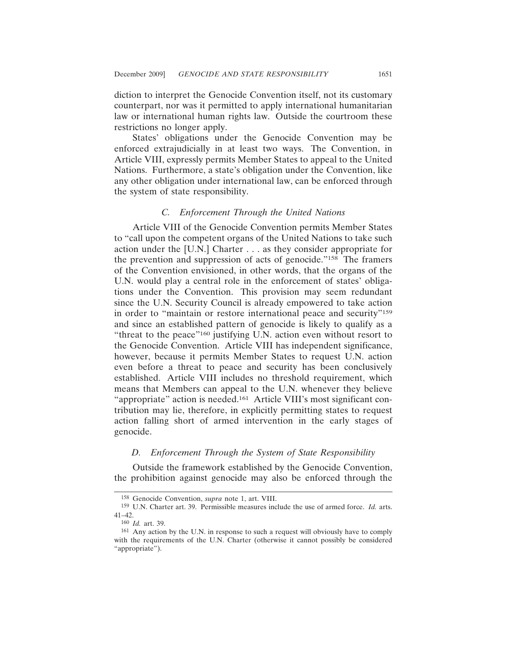diction to interpret the Genocide Convention itself, not its customary counterpart, nor was it permitted to apply international humanitarian law or international human rights law. Outside the courtroom these restrictions no longer apply.

States' obligations under the Genocide Convention may be enforced extrajudicially in at least two ways. The Convention, in Article VIII, expressly permits Member States to appeal to the United Nations. Furthermore, a state's obligation under the Convention, like any other obligation under international law, can be enforced through the system of state responsibility.

#### *C. Enforcement Through the United Nations*

Article VIII of the Genocide Convention permits Member States to "call upon the competent organs of the United Nations to take such action under the [U.N.] Charter . . . as they consider appropriate for the prevention and suppression of acts of genocide."158 The framers of the Convention envisioned, in other words, that the organs of the U.N. would play a central role in the enforcement of states' obligations under the Convention. This provision may seem redundant since the U.N. Security Council is already empowered to take action in order to "maintain or restore international peace and security"159 and since an established pattern of genocide is likely to qualify as a "threat to the peace"160 justifying U.N. action even without resort to the Genocide Convention. Article VIII has independent significance, however, because it permits Member States to request U.N. action even before a threat to peace and security has been conclusively established. Article VIII includes no threshold requirement, which means that Members can appeal to the U.N. whenever they believe "appropriate" action is needed.<sup>161</sup> Article VIII's most significant contribution may lie, therefore, in explicitly permitting states to request action falling short of armed intervention in the early stages of genocide.

#### *D. Enforcement Through the System of State Responsibility*

Outside the framework established by the Genocide Convention, the prohibition against genocide may also be enforced through the

<sup>158</sup> Genocide Convention, *supra* note 1, art. VIII.

<sup>159</sup> U.N. Charter art. 39. Permissible measures include the use of armed force. *Id.* arts. 41–42.

<sup>160</sup> *Id.* art. 39.

<sup>161</sup> Any action by the U.N. in response to such a request will obviously have to comply with the requirements of the U.N. Charter (otherwise it cannot possibly be considered "appropriate").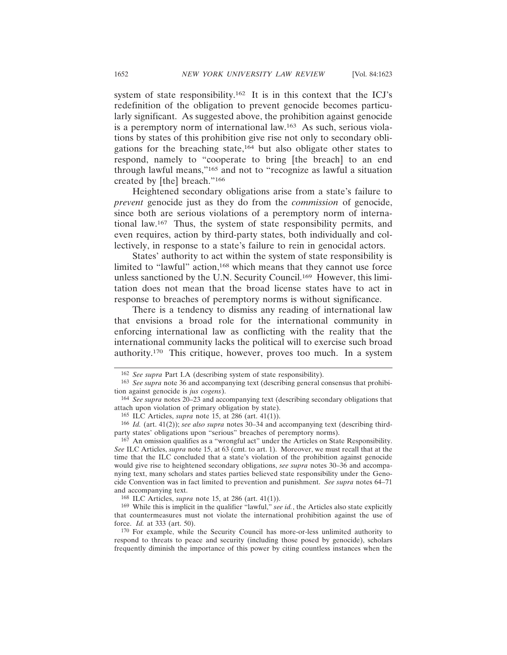system of state responsibility.162 It is in this context that the ICJ's redefinition of the obligation to prevent genocide becomes particularly significant. As suggested above, the prohibition against genocide is a peremptory norm of international law.163 As such, serious violations by states of this prohibition give rise not only to secondary obligations for the breaching state,164 but also obligate other states to respond, namely to "cooperate to bring [the breach] to an end through lawful means,"165 and not to "recognize as lawful a situation created by [the] breach."166

Heightened secondary obligations arise from a state's failure to *prevent* genocide just as they do from the *commission* of genocide, since both are serious violations of a peremptory norm of international law.167 Thus, the system of state responsibility permits, and even requires, action by third-party states, both individually and collectively, in response to a state's failure to rein in genocidal actors.

States' authority to act within the system of state responsibility is limited to "lawful" action,<sup>168</sup> which means that they cannot use force unless sanctioned by the U.N. Security Council.169 However, this limitation does not mean that the broad license states have to act in response to breaches of peremptory norms is without significance.

There is a tendency to dismiss any reading of international law that envisions a broad role for the international community in enforcing international law as conflicting with the reality that the international community lacks the political will to exercise such broad authority.170 This critique, however, proves too much. In a system

<sup>162</sup> *See supra* Part I.A (describing system of state responsibility).

<sup>163</sup> *See supra* note 36 and accompanying text (describing general consensus that prohibition against genocide is *jus cogens*).

<sup>164</sup> *See supra* notes 20–23 and accompanying text (describing secondary obligations that attach upon violation of primary obligation by state).

<sup>165</sup> ILC Articles, *supra* note 15, at 286 (art. 41(1)).

<sup>166</sup> *Id.* (art. 41(2)); *see also supra* notes 30–34 and accompanying text (describing thirdparty states' obligations upon "serious" breaches of peremptory norms).

<sup>167</sup> An omission qualifies as a "wrongful act" under the Articles on State Responsibility. *See* ILC Articles, *supra* note 15, at 63 (cmt. to art. 1). Moreover, we must recall that at the time that the ILC concluded that a state's violation of the prohibition against genocide would give rise to heightened secondary obligations, *see supra* notes 30–36 and accompanying text, many scholars and states parties believed state responsibility under the Genocide Convention was in fact limited to prevention and punishment. *See supra* notes 64–71 and accompanying text.

<sup>168</sup> ILC Articles, *supra* note 15, at 286 (art. 41(1)).

<sup>169</sup> While this is implicit in the qualifier "lawful," *see id.*, the Articles also state explicitly that countermeasures must not violate the international prohibition against the use of force. *Id.* at 333 (art. 50).

<sup>170</sup> For example, while the Security Council has more-or-less unlimited authority to respond to threats to peace and security (including those posed by genocide), scholars frequently diminish the importance of this power by citing countless instances when the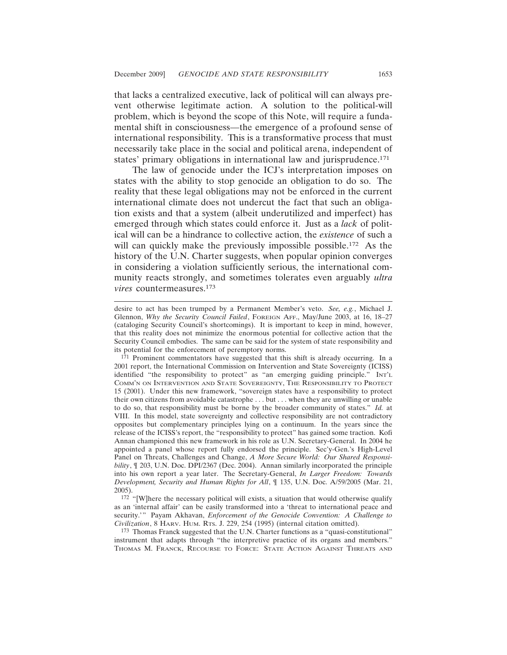that lacks a centralized executive, lack of political will can always prevent otherwise legitimate action. A solution to the political-will problem, which is beyond the scope of this Note, will require a fundamental shift in consciousness—the emergence of a profound sense of international responsibility. This is a transformative process that must necessarily take place in the social and political arena, independent of states' primary obligations in international law and jurisprudence.171

The law of genocide under the ICJ's interpretation imposes on states with the ability to stop genocide an obligation to do so. The reality that these legal obligations may not be enforced in the current international climate does not undercut the fact that such an obligation exists and that a system (albeit underutilized and imperfect) has emerged through which states could enforce it. Just as a *lack* of political will can be a hindrance to collective action, the *existence* of such a will can quickly make the previously impossible possible.<sup>172</sup> As the history of the U.N. Charter suggests, when popular opinion converges in considering a violation sufficiently serious, the international community reacts strongly, and sometimes tolerates even arguably *ultra vires* countermeasures.173

171 Prominent commentators have suggested that this shift is already occurring. In a 2001 report, the International Commission on Intervention and State Sovereignty (ICISS) identified "the responsibility to protect" as "an emerging guiding principle." INT'L COMM'N ON INTERVENTION AND STATE SOVEREIGNTY, THE RESPONSIBILITY TO PROTECT 15 (2001). Under this new framework, "sovereign states have a responsibility to protect their own citizens from avoidable catastrophe . . . but . . . when they are unwilling or unable to do so, that responsibility must be borne by the broader community of states." *Id.* at VIII. In this model, state sovereignty and collective responsibility are not contradictory opposites but complementary principles lying on a continuum. In the years since the release of the ICISS's report, the "responsibility to protect" has gained some traction. Kofi Annan championed this new framework in his role as U.N. Secretary-General. In 2004 he appointed a panel whose report fully endorsed the principle. Sec'y-Gen.'s High-Level Panel on Threats, Challenges and Change, *A More Secure World: Our Shared Responsibility*, ¶ 203, U.N. Doc. DPI/2367 (Dec. 2004). Annan similarly incorporated the principle into his own report a year later. The Secretary-General, *In Larger Freedom: Towards Development, Security and Human Rights for All*, ¶ 135, U.N. Doc. A/59/2005 (Mar. 21, 2005).

<sup>172</sup> "[W]here the necessary political will exists, a situation that would otherwise qualify as an 'internal affair' can be easily transformed into a 'threat to international peace and security.'" Payam Akhavan, *Enforcement of the Genocide Convention: A Challenge to Civilization*, 8 HARV. HUM. RTS. J. 229, 254 (1995) (internal citation omitted).

173 Thomas Franck suggested that the U.N. Charter functions as a "quasi-constitutional" instrument that adapts through "the interpretive practice of its organs and members." THOMAS M. FRANCK, RECOURSE TO FORCE: STATE ACTION AGAINST THREATS AND

desire to act has been trumped by a Permanent Member's veto. *See, e.g.*, Michael J. Glennon, *Why the Security Council Failed*, FOREIGN AFF., May/June 2003, at 16, 18–27 (cataloging Security Council's shortcomings). It is important to keep in mind, however, that this reality does not minimize the enormous potential for collective action that the Security Council embodies. The same can be said for the system of state responsibility and its potential for the enforcement of peremptory norms.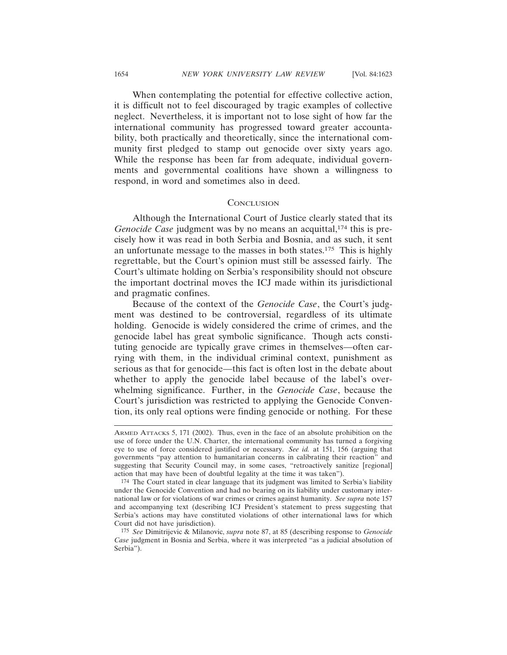When contemplating the potential for effective collective action, it is difficult not to feel discouraged by tragic examples of collective neglect. Nevertheless, it is important not to lose sight of how far the international community has progressed toward greater accountability, both practically and theoretically, since the international community first pledged to stamp out genocide over sixty years ago. While the response has been far from adequate, individual governments and governmental coalitions have shown a willingness to respond, in word and sometimes also in deed.

#### **CONCLUSION**

Although the International Court of Justice clearly stated that its *Genocide Case* judgment was by no means an acquittal,<sup>174</sup> this is precisely how it was read in both Serbia and Bosnia, and as such, it sent an unfortunate message to the masses in both states.175 This is highly regrettable, but the Court's opinion must still be assessed fairly. The Court's ultimate holding on Serbia's responsibility should not obscure the important doctrinal moves the ICJ made within its jurisdictional and pragmatic confines.

Because of the context of the *Genocide Case*, the Court's judgment was destined to be controversial, regardless of its ultimate holding. Genocide is widely considered the crime of crimes, and the genocide label has great symbolic significance. Though acts constituting genocide are typically grave crimes in themselves—often carrying with them, in the individual criminal context, punishment as serious as that for genocide—this fact is often lost in the debate about whether to apply the genocide label because of the label's overwhelming significance. Further, in the *Genocide Case*, because the Court's jurisdiction was restricted to applying the Genocide Convention, its only real options were finding genocide or nothing. For these

ARMED ATTACKS 5, 171 (2002). Thus, even in the face of an absolute prohibition on the use of force under the U.N. Charter, the international community has turned a forgiving eye to use of force considered justified or necessary. *See id.* at 151, 156 (arguing that governments "pay attention to humanitarian concerns in calibrating their reaction" and suggesting that Security Council may, in some cases, "retroactively sanitize [regional] action that may have been of doubtful legality at the time it was taken").

<sup>174</sup> The Court stated in clear language that its judgment was limited to Serbia's liability under the Genocide Convention and had no bearing on its liability under customary international law or for violations of war crimes or crimes against humanity. *See supra* note 157 and accompanying text (describing ICJ President's statement to press suggesting that Serbia's actions may have constituted violations of other international laws for which Court did not have jurisdiction).

<sup>175</sup> *See* Dimitrijevic & Milanovic, *supra* note 87, at 85 (describing response to *Genocide Case* judgment in Bosnia and Serbia, where it was interpreted "as a judicial absolution of Serbia").